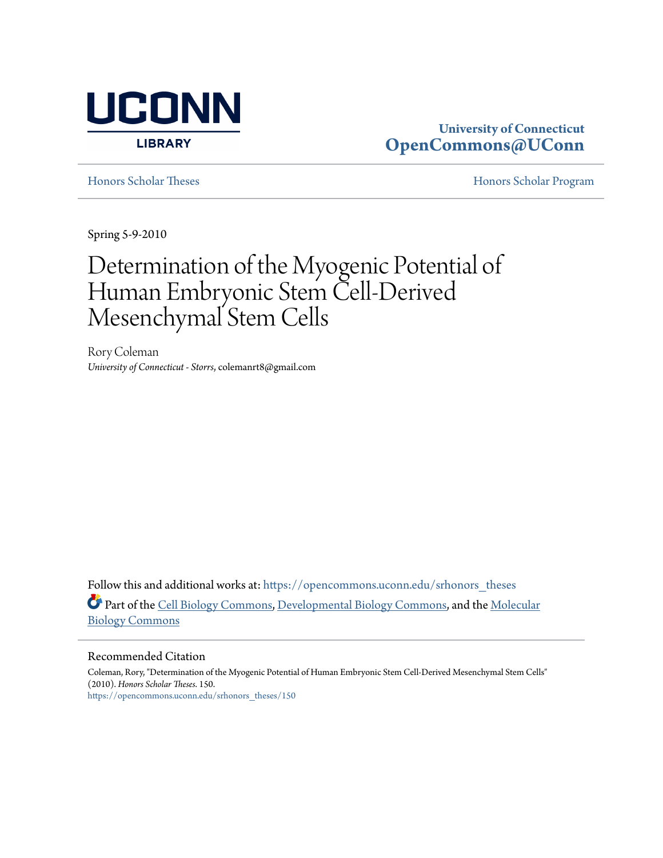

# **University of Connecticut [OpenCommons@UConn](https://opencommons.uconn.edu?utm_source=opencommons.uconn.edu%2Fsrhonors_theses%2F150&utm_medium=PDF&utm_campaign=PDFCoverPages)**

[Honors Scholar Theses](https://opencommons.uconn.edu/srhonors_theses?utm_source=opencommons.uconn.edu%2Fsrhonors_theses%2F150&utm_medium=PDF&utm_campaign=PDFCoverPages) [Honors Scholar Program](https://opencommons.uconn.edu/srhonors?utm_source=opencommons.uconn.edu%2Fsrhonors_theses%2F150&utm_medium=PDF&utm_campaign=PDFCoverPages)

Spring 5-9-2010

# Determination of the Myogenic Potential of Human Embryonic Stem Cell-Derived Mesenchymal Stem Cells

Rory Coleman *University of Connecticut - Storrs*, colemanrt8@gmail.com

Follow this and additional works at: [https://opencommons.uconn.edu/srhonors\\_theses](https://opencommons.uconn.edu/srhonors_theses?utm_source=opencommons.uconn.edu%2Fsrhonors_theses%2F150&utm_medium=PDF&utm_campaign=PDFCoverPages) Part of the [Cell Biology Commons,](http://network.bepress.com/hgg/discipline/10?utm_source=opencommons.uconn.edu%2Fsrhonors_theses%2F150&utm_medium=PDF&utm_campaign=PDFCoverPages) [Developmental Biology Commons,](http://network.bepress.com/hgg/discipline/11?utm_source=opencommons.uconn.edu%2Fsrhonors_theses%2F150&utm_medium=PDF&utm_campaign=PDFCoverPages) and the [Molecular](http://network.bepress.com/hgg/discipline/5?utm_source=opencommons.uconn.edu%2Fsrhonors_theses%2F150&utm_medium=PDF&utm_campaign=PDFCoverPages) [Biology Commons](http://network.bepress.com/hgg/discipline/5?utm_source=opencommons.uconn.edu%2Fsrhonors_theses%2F150&utm_medium=PDF&utm_campaign=PDFCoverPages)

#### Recommended Citation

Coleman, Rory, "Determination of the Myogenic Potential of Human Embryonic Stem Cell-Derived Mesenchymal Stem Cells" (2010). *Honors Scholar Theses*. 150. [https://opencommons.uconn.edu/srhonors\\_theses/150](https://opencommons.uconn.edu/srhonors_theses/150?utm_source=opencommons.uconn.edu%2Fsrhonors_theses%2F150&utm_medium=PDF&utm_campaign=PDFCoverPages)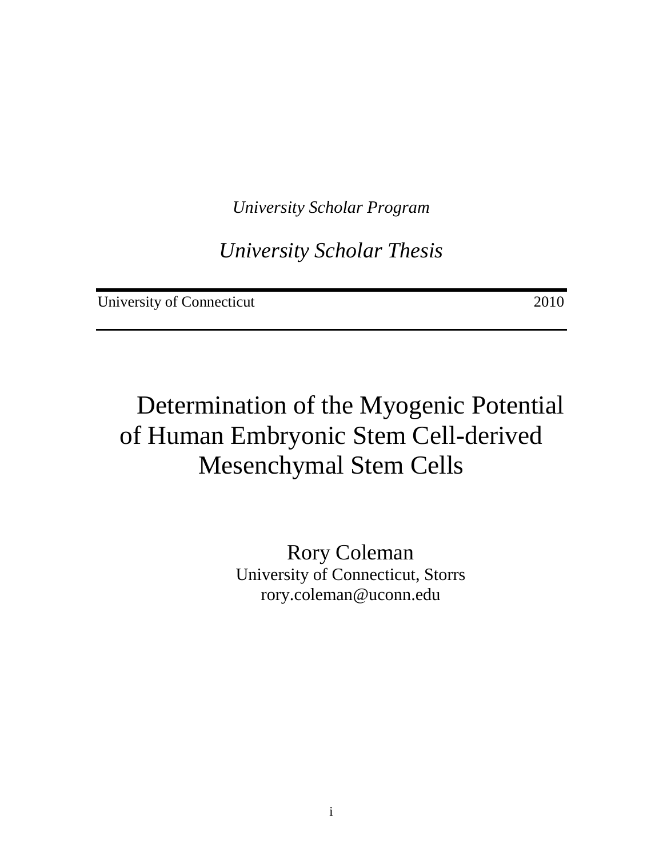*University Scholar Program*

*University Scholar Thesis*

University of Connecticut 2010

# Determination of the Myogenic Potential of Human Embryonic Stem Cell-derived Mesenchymal Stem Cells

Rory Coleman University of Connecticut, Storrs rory.coleman@uconn.edu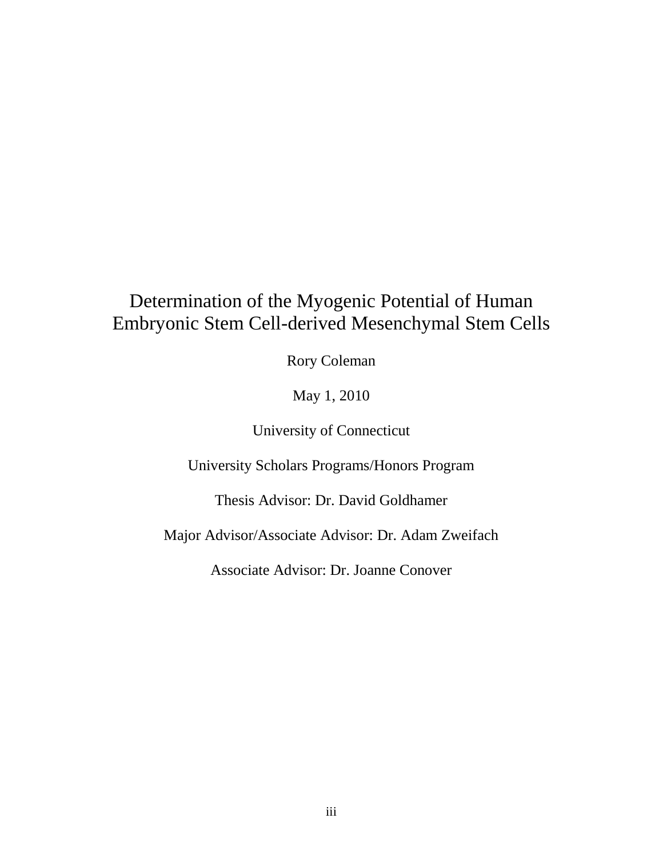# Determination of the Myogenic Potential of Human Embryonic Stem Cell-derived Mesenchymal Stem Cells

Rory Coleman

May 1, 2010

University of Connecticut

University Scholars Programs/Honors Program

Thesis Advisor: Dr. David Goldhamer

Major Advisor/Associate Advisor: Dr. Adam Zweifach

Associate Advisor: Dr. Joanne Conover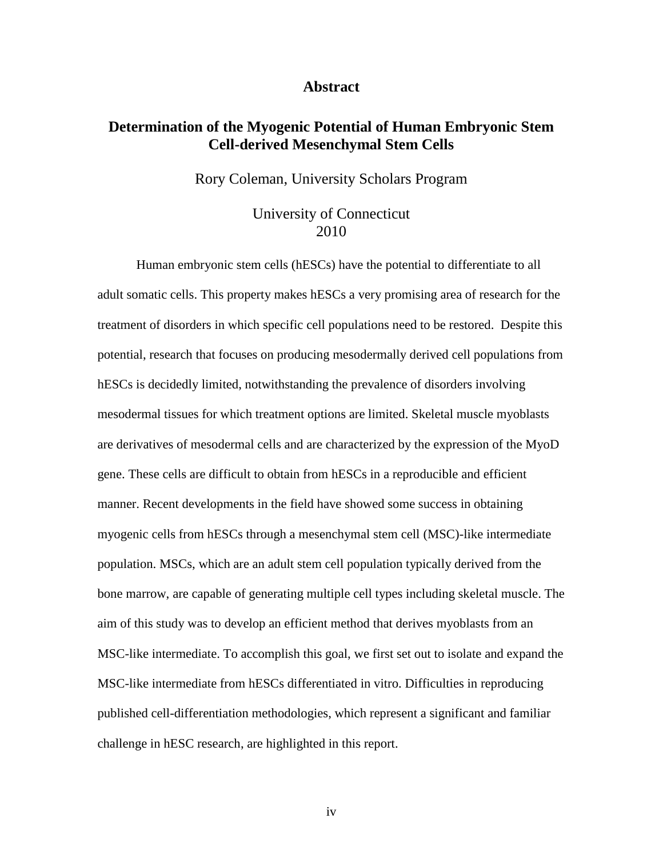#### **Abstract**

# **Determination of the Myogenic Potential of Human Embryonic Stem Cell-derived Mesenchymal Stem Cells**

Rory Coleman, University Scholars Program

## University of Connecticut 2010

Human embryonic stem cells (hESCs) have the potential to differentiate to all adult somatic cells. This property makes hESCs a very promising area of research for the treatment of disorders in which specific cell populations need to be restored. Despite this potential, research that focuses on producing mesodermally derived cell populations from hESCs is decidedly limited, notwithstanding the prevalence of disorders involving mesodermal tissues for which treatment options are limited. Skeletal muscle myoblasts are derivatives of mesodermal cells and are characterized by the expression of the MyoD gene. These cells are difficult to obtain from hESCs in a reproducible and efficient manner. Recent developments in the field have showed some success in obtaining myogenic cells from hESCs through a mesenchymal stem cell (MSC)-like intermediate population. MSCs, which are an adult stem cell population typically derived from the bone marrow, are capable of generating multiple cell types including skeletal muscle. The aim of this study was to develop an efficient method that derives myoblasts from an MSC-like intermediate. To accomplish this goal, we first set out to isolate and expand the MSC-like intermediate from hESCs differentiated in vitro. Difficulties in reproducing published cell-differentiation methodologies, which represent a significant and familiar challenge in hESC research, are highlighted in this report.

iv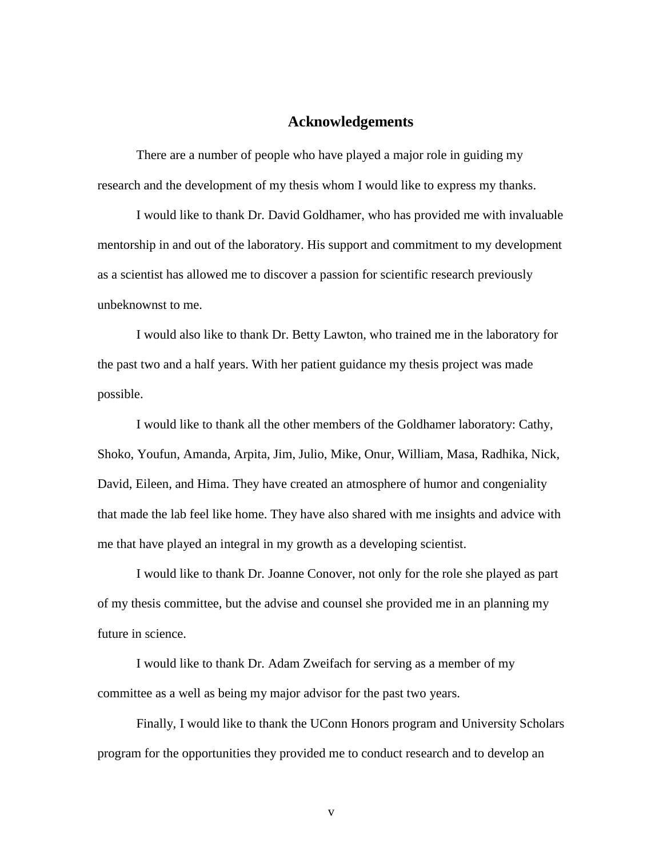### **Acknowledgements**

There are a number of people who have played a major role in guiding my research and the development of my thesis whom I would like to express my thanks.

I would like to thank Dr. David Goldhamer, who has provided me with invaluable mentorship in and out of the laboratory. His support and commitment to my development as a scientist has allowed me to discover a passion for scientific research previously unbeknownst to me.

I would also like to thank Dr. Betty Lawton, who trained me in the laboratory for the past two and a half years. With her patient guidance my thesis project was made possible.

I would like to thank all the other members of the Goldhamer laboratory: Cathy, Shoko, Youfun, Amanda, Arpita, Jim, Julio, Mike, Onur, William, Masa, Radhika, Nick, David, Eileen, and Hima. They have created an atmosphere of humor and congeniality that made the lab feel like home. They have also shared with me insights and advice with me that have played an integral in my growth as a developing scientist.

I would like to thank Dr. Joanne Conover, not only for the role she played as part of my thesis committee, but the advise and counsel she provided me in an planning my future in science.

I would like to thank Dr. Adam Zweifach for serving as a member of my committee as a well as being my major advisor for the past two years.

Finally, I would like to thank the UConn Honors program and University Scholars program for the opportunities they provided me to conduct research and to develop an

v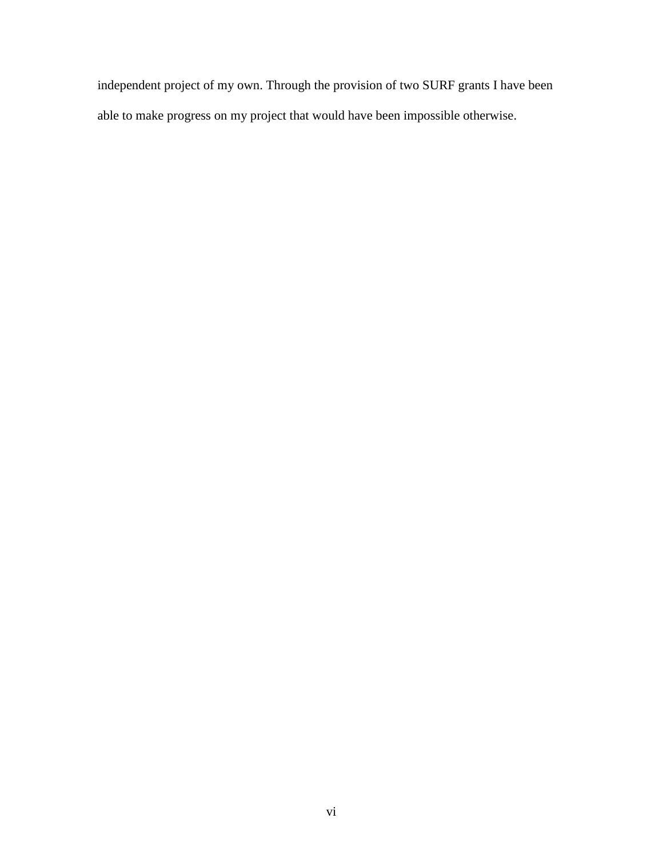independent project of my own. Through the provision of two SURF grants I have been able to make progress on my project that would have been impossible otherwise.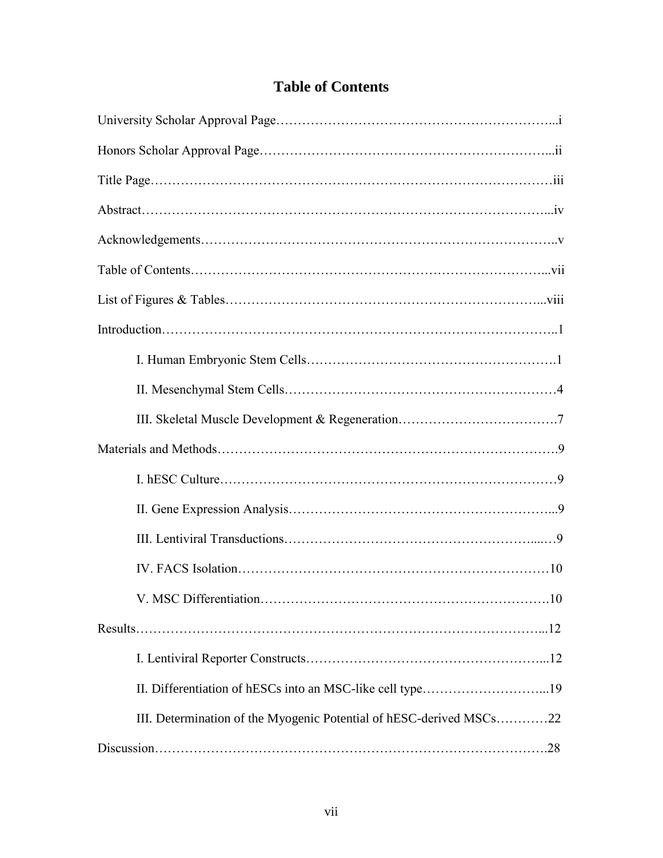|  | <b>Table of Contents</b> |
|--|--------------------------|
|  |                          |

| III. Determination of the Myogenic Potential of hESC-derived MSCs22 |
|---------------------------------------------------------------------|
|                                                                     |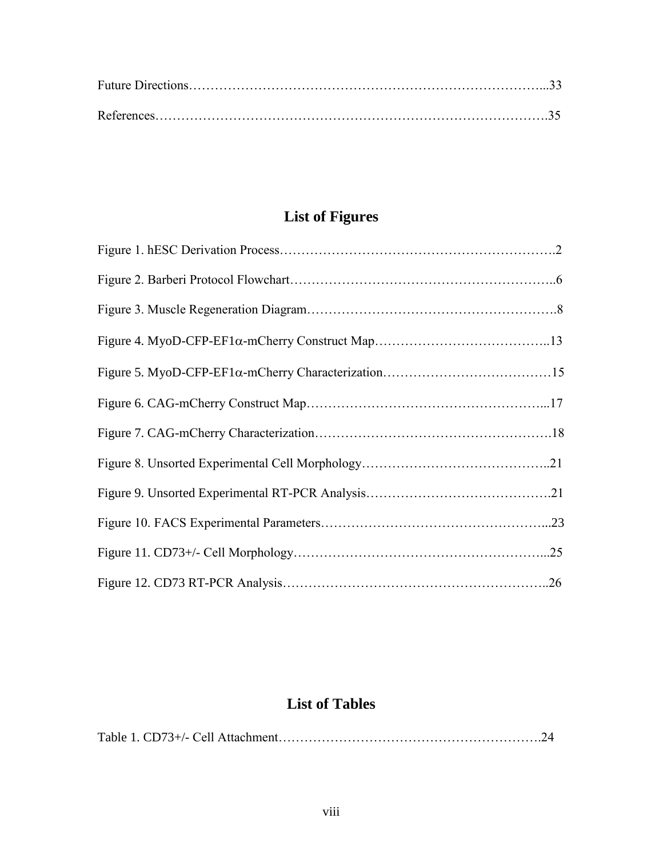# **List of Figures**

# **List of Tables**

|--|--|--|--|--|--|--|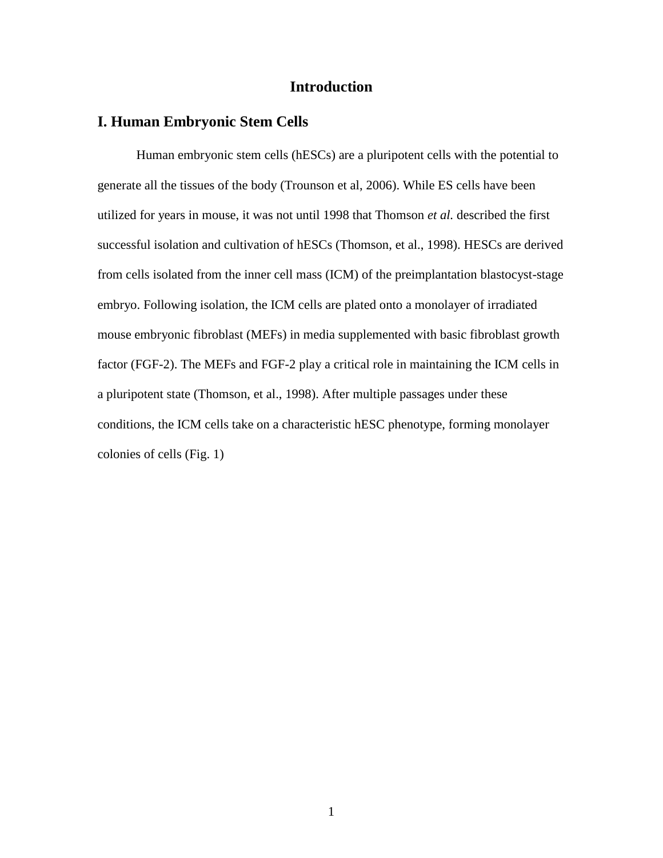# **Introduction**

### **I. Human Embryonic Stem Cells**

Human embryonic stem cells (hESCs) are a pluripotent cells with the potential to generate all the tissues of the body (Trounson et al, 2006). While ES cells have been utilized for years in mouse, it was not until 1998 that Thomson *et al.* described the first successful isolation and cultivation of hESCs (Thomson, et al., 1998). HESCs are derived from cells isolated from the inner cell mass (ICM) of the preimplantation blastocyst-stage embryo. Following isolation, the ICM cells are plated onto a monolayer of irradiated mouse embryonic fibroblast (MEFs) in media supplemented with basic fibroblast growth factor (FGF-2). The MEFs and FGF-2 play a critical role in maintaining the ICM cells in a pluripotent state (Thomson, et al., 1998). After multiple passages under these conditions, the ICM cells take on a characteristic hESC phenotype, forming monolayer colonies of cells (Fig. 1)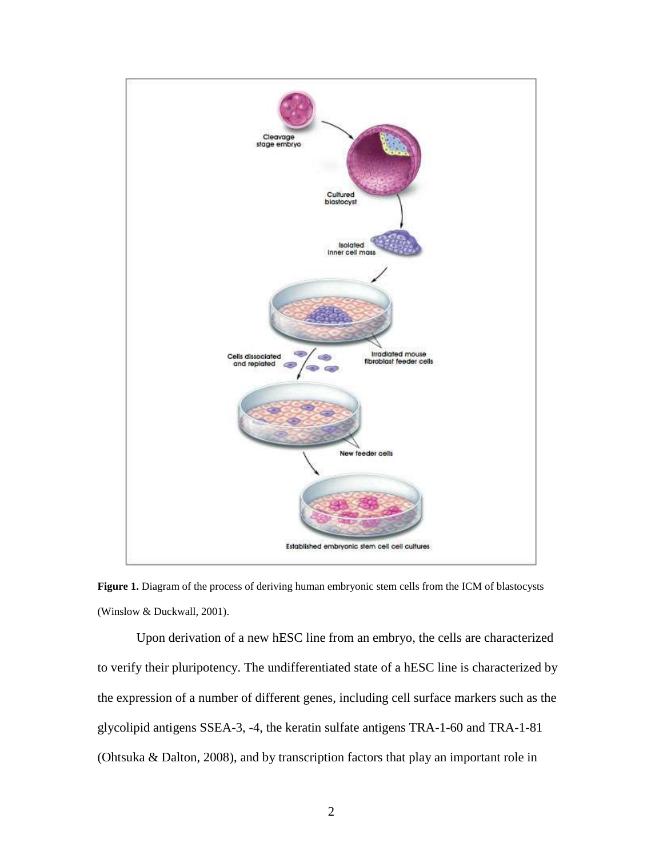

**Figure 1.** Diagram of the process of deriving human embryonic stem cells from the ICM of blastocysts (Winslow & Duckwall, 2001).

Upon derivation of a new hESC line from an embryo, the cells are characterized to verify their pluripotency. The undifferentiated state of a hESC line is characterized by the expression of a number of different genes, including cell surface markers such as the glycolipid antigens SSEA-3, -4, the keratin sulfate antigens TRA-1-60 and TRA-1-81 (Ohtsuka & Dalton, 2008), and by transcription factors that play an important role in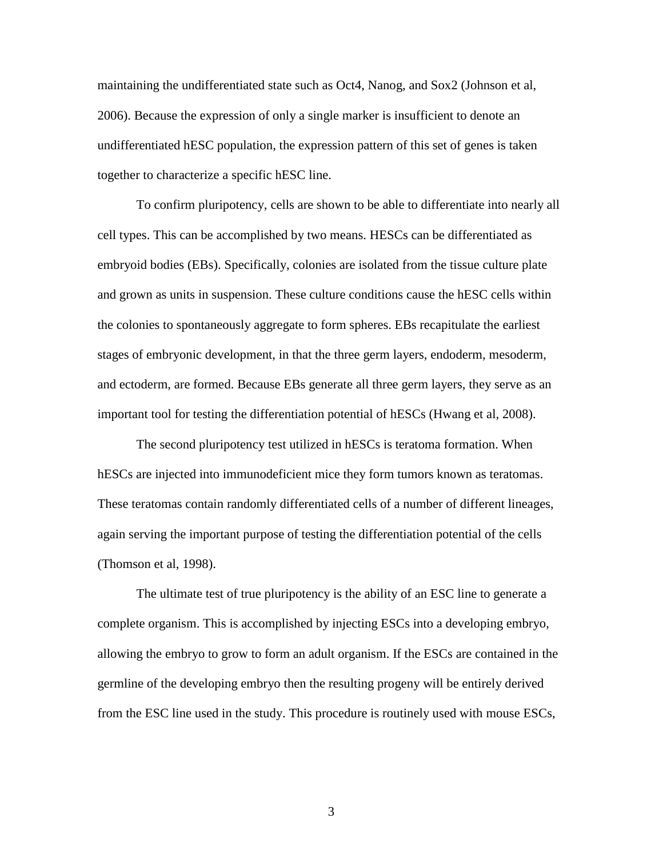maintaining the undifferentiated state such as Oct4, Nanog, and Sox2 (Johnson et al, 2006). Because the expression of only a single marker is insufficient to denote an undifferentiated hESC population, the expression pattern of this set of genes is taken together to characterize a specific hESC line.

To confirm pluripotency, cells are shown to be able to differentiate into nearly all cell types. This can be accomplished by two means. HESCs can be differentiated as embryoid bodies (EBs). Specifically, colonies are isolated from the tissue culture plate and grown as units in suspension. These culture conditions cause the hESC cells within the colonies to spontaneously aggregate to form spheres. EBs recapitulate the earliest stages of embryonic development, in that the three germ layers, endoderm, mesoderm, and ectoderm, are formed. Because EBs generate all three germ layers, they serve as an important tool for testing the differentiation potential of hESCs (Hwang et al, 2008).

The second pluripotency test utilized in hESCs is teratoma formation. When hetal into immunodeficient mice they form tumors known as teratomas. These teratomas contain randomly differentiated cells of a number of different lineages, again serving the important purpose of testing the differentiation potential of the cells (Thomson et al, 1998).

The ultimate test of true pluripotency is the ability of an ESC line to generate a complete organism. This is accomplished by injecting ESCs into a developing embryo, allowing the embryo to grow to form an adult organism. If the ESCs are contained in the germline of the developing embryo then the resulting progeny will be entirely derived from the ESC line used in the study. This procedure is routinely used with mouse ESCs,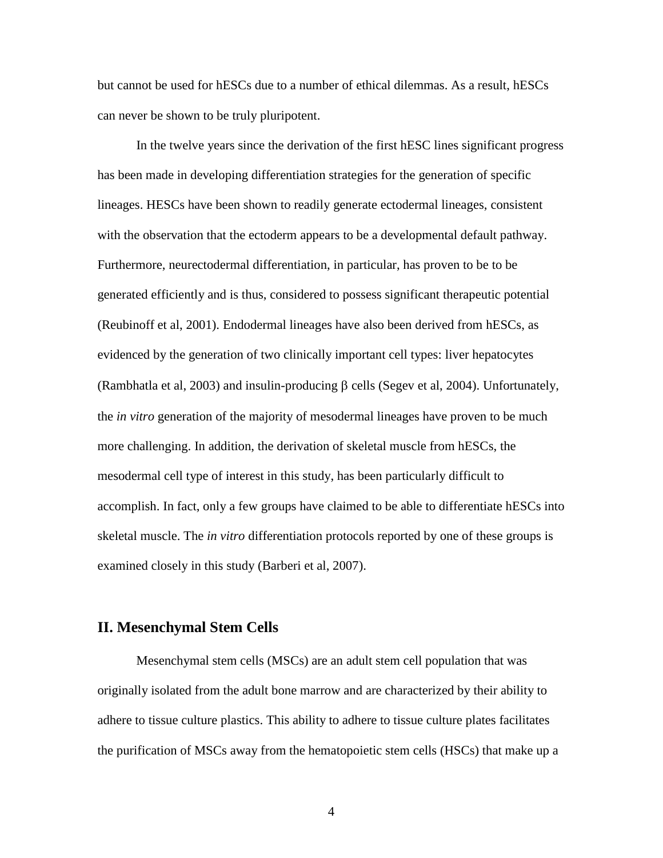but cannot be used for hESCs due to a number of ethical dilemmas. As a result, hESCs can never be shown to be truly pluripotent.

In the twelve years since the derivation of the first hESC lines significant progress has been made in developing differentiation strategies for the generation of specific lineages. HESCs have been shown to readily generate ectodermal lineages, consistent with the observation that the ectoderm appears to be a developmental default pathway. Furthermore, neurectodermal differentiation, in particular, has proven to be to be generated efficiently and is thus, considered to possess significant therapeutic potential (Reubinoff et al, 2001). Endodermal lineages have also been derived from hESCs, as evidenced by the generation of two clinically important cell types: liver hepatocytes (Rambhatla et al, 2003) and insulin-producing  $\beta$  cells (Segev et al, 2004). Unfortunately, the *in vitro* generation of the majority of mesodermal lineages have proven to be much more challenging. In addition, the derivation of skeletal muscle from hESCs, the mesodermal cell type of interest in this study, has been particularly difficult to accomplish. In fact, only a few groups have claimed to be able to differentiate hESCs into skeletal muscle. The *in vitro* differentiation protocols reported by one of these groups is examined closely in this study (Barberi et al, 2007).

## **II. Mesenchymal Stem Cells**

Mesenchymal stem cells (MSCs) are an adult stem cell population that was originally isolated from the adult bone marrow and are characterized by their ability to adhere to tissue culture plastics. This ability to adhere to tissue culture plates facilitates the purification of MSCs away from the hematopoietic stem cells (HSCs) that make up a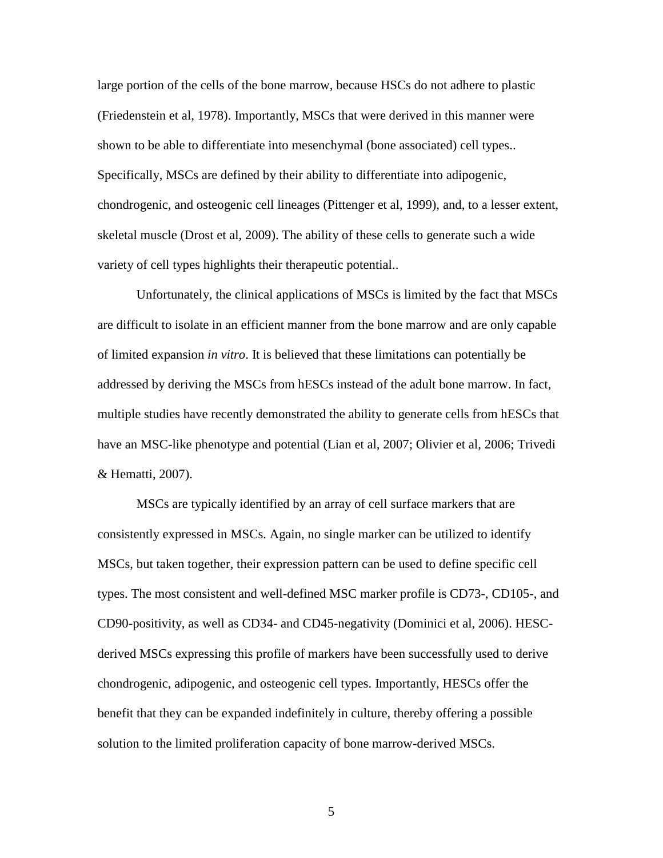large portion of the cells of the bone marrow, because HSCs do not adhere to plastic (Friedenstein et al, 1978). Importantly, MSCs that were derived in this manner were shown to be able to differentiate into mesenchymal (bone associated) cell types.. Specifically, MSCs are defined by their ability to differentiate into adipogenic, chondrogenic, and osteogenic cell lineages (Pittenger et al, 1999), and, to a lesser extent, skeletal muscle (Drost et al, 2009). The ability of these cells to generate such a wide variety of cell types highlights their therapeutic potential..

Unfortunately, the clinical applications of MSCs is limited by the fact that MSCs are difficult to isolate in an efficient manner from the bone marrow and are only capable of limited expansion *in vitro*. It is believed that these limitations can potentially be addressed by deriving the MSCs from hESCs instead of the adult bone marrow. In fact, multiple studies have recently demonstrated the ability to generate cells from hESCs that have an MSC-like phenotype and potential (Lian et al, 2007; Olivier et al, 2006; Trivedi & Hematti, 2007).

MSCs are typically identified by an array of cell surface markers that are consistently expressed in MSCs. Again, no single marker can be utilized to identify MSCs, but taken together, their expression pattern can be used to define specific cell types. The most consistent and well-defined MSC marker profile is CD73-, CD105-, and CD90-positivity, as well as CD34- and CD45-negativity (Dominici et al, 2006). HESCderived MSCs expressing this profile of markers have been successfully used to derive chondrogenic, adipogenic, and osteogenic cell types. Importantly, HESCs offer the benefit that they can be expanded indefinitely in culture, thereby offering a possible solution to the limited proliferation capacity of bone marrow-derived MSCs.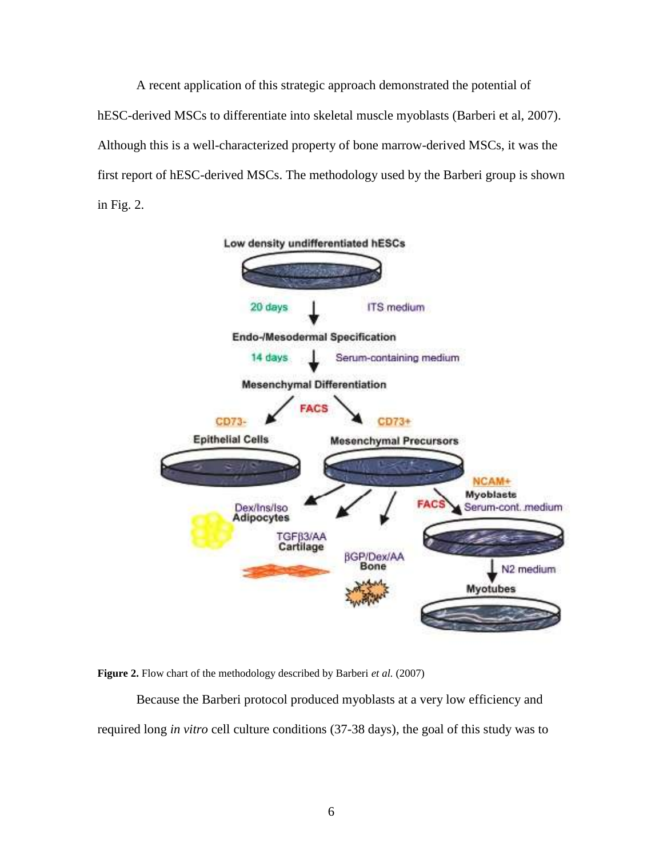A recent application of this strategic approach demonstrated the potential of hESC-derived MSCs to differentiate into skeletal muscle myoblasts (Barberi et al, 2007). Although this is a well-characterized property of bone marrow-derived MSCs, it was the first report of hESC-derived MSCs. The methodology used by the Barberi group is shown in Fig. 2.



**Figure 2.** Flow chart of the methodology described by Barberi *et al.* (2007)

Because the Barberi protocol produced myoblasts at a very low efficiency and required long *in vitro* cell culture conditions (37-38 days), the goal of this study was to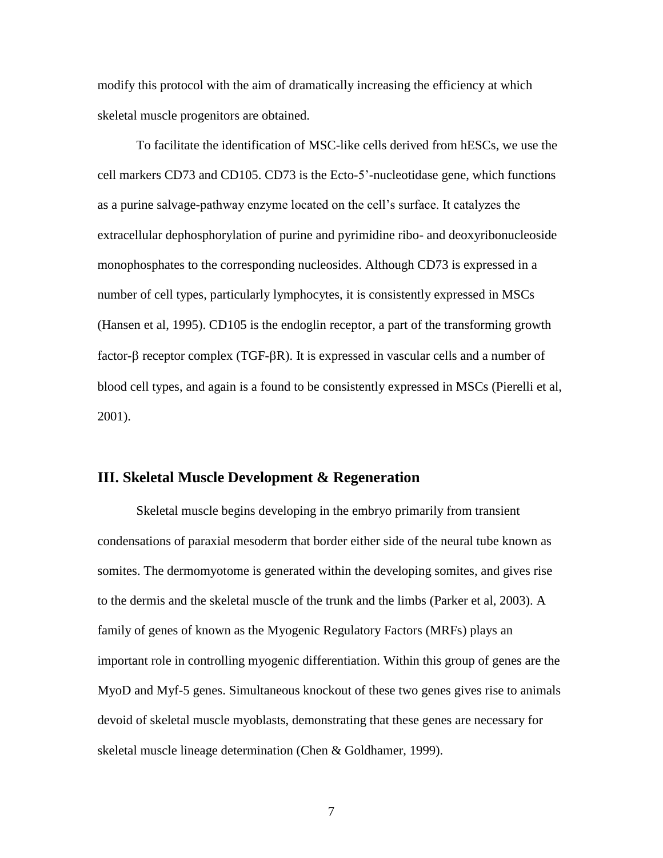modify this protocol with the aim of dramatically increasing the efficiency at which skeletal muscle progenitors are obtained.

To facilitate the identification of MSC-like cells derived from hESCs, we use the cell markers CD73 and CD105. CD73 is the Ecto-5'-nucleotidase gene, which functions as a purine salvage-pathway enzyme located on the cell's surface. It catalyzes the extracellular dephosphorylation of purine and pyrimidine ribo- and deoxyribonucleoside monophosphates to the corresponding nucleosides. Although CD73 is expressed in a number of cell types, particularly lymphocytes, it is consistently expressed in MSCs (Hansen et al, 1995). CD105 is the endoglin receptor, a part of the transforming growth factor- $\beta$  receptor complex (TGF- $\beta$ R). It is expressed in vascular cells and a number of blood cell types, and again is a found to be consistently expressed in MSCs (Pierelli et al, 2001).

#### **III. Skeletal Muscle Development & Regeneration**

Skeletal muscle begins developing in the embryo primarily from transient condensations of paraxial mesoderm that border either side of the neural tube known as somites. The dermomyotome is generated within the developing somites, and gives rise to the dermis and the skeletal muscle of the trunk and the limbs (Parker et al, 2003). A family of genes of known as the Myogenic Regulatory Factors (MRFs) plays an important role in controlling myogenic differentiation. Within this group of genes are the MyoD and Myf-5 genes. Simultaneous knockout of these two genes gives rise to animals devoid of skeletal muscle myoblasts, demonstrating that these genes are necessary for skeletal muscle lineage determination (Chen & Goldhamer, 1999).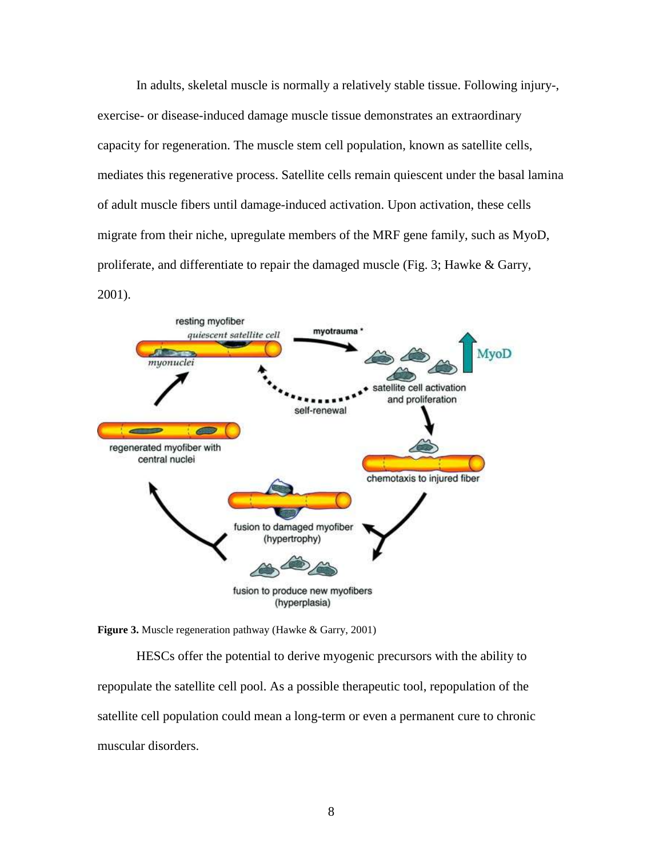In adults, skeletal muscle is normally a relatively stable tissue. Following injury-, exercise- or disease-induced damage muscle tissue demonstrates an extraordinary capacity for regeneration. The muscle stem cell population, known as satellite cells, mediates this regenerative process. Satellite cells remain quiescent under the basal lamina of adult muscle fibers until damage-induced activation. Upon activation, these cells migrate from their niche, upregulate members of the MRF gene family, such as MyoD, proliferate, and differentiate to repair the damaged muscle (Fig. 3; Hawke & Garry, 2001).



**Figure 3.** Muscle regeneration pathway (Hawke & Garry, 2001)

HESCs offer the potential to derive myogenic precursors with the ability to repopulate the satellite cell pool. As a possible therapeutic tool, repopulation of the satellite cell population could mean a long-term or even a permanent cure to chronic muscular disorders.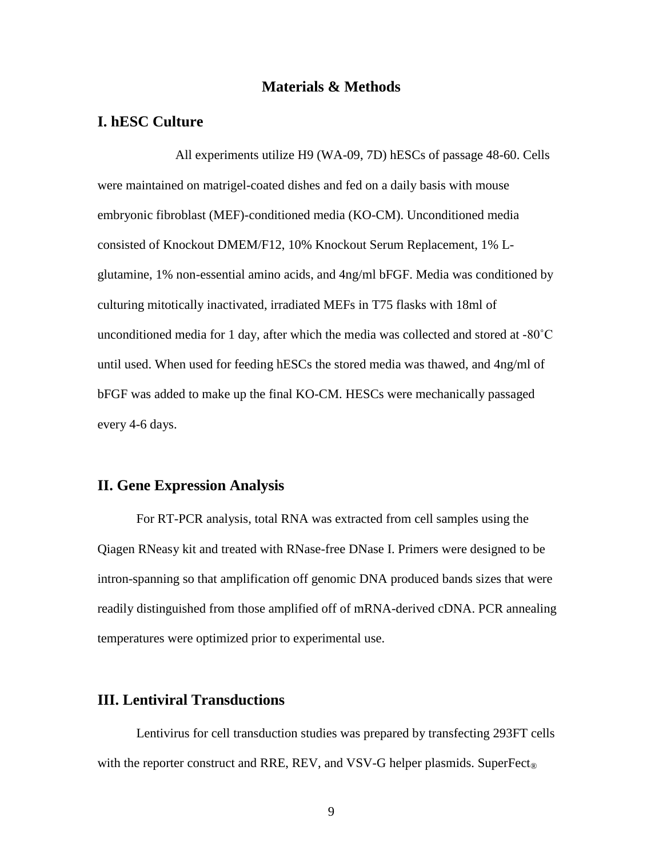#### **Materials & Methods**

#### **I. hESC Culture**

All experiments utilize H9 (WA-09, 7D) hESCs of passage 48-60. Cells were maintained on matrigel-coated dishes and fed on a daily basis with mouse embryonic fibroblast (MEF)-conditioned media (KO-CM). Unconditioned media consisted of Knockout DMEM/F12, 10% Knockout Serum Replacement, 1% Lglutamine, 1% non-essential amino acids, and 4ng/ml bFGF. Media was conditioned by culturing mitotically inactivated, irradiated MEFs in T75 flasks with 18ml of unconditioned media for 1 day, after which the media was collected and stored at -80˚C until used. When used for feeding hESCs the stored media was thawed, and 4ng/ml of bFGF was added to make up the final KO-CM. HESCs were mechanically passaged every 4-6 days.

#### **II. Gene Expression Analysis**

For RT-PCR analysis, total RNA was extracted from cell samples using the Qiagen RNeasy kit and treated with RNase-free DNase I. Primers were designed to be intron-spanning so that amplification off genomic DNA produced bands sizes that were readily distinguished from those amplified off of mRNA-derived cDNA. PCR annealing temperatures were optimized prior to experimental use.

#### **III. Lentiviral Transductions**

Lentivirus for cell transduction studies was prepared by transfecting 293FT cells with the reporter construct and RRE, REV, and VSV-G helper plasmids. SuperFect<sub>®</sub>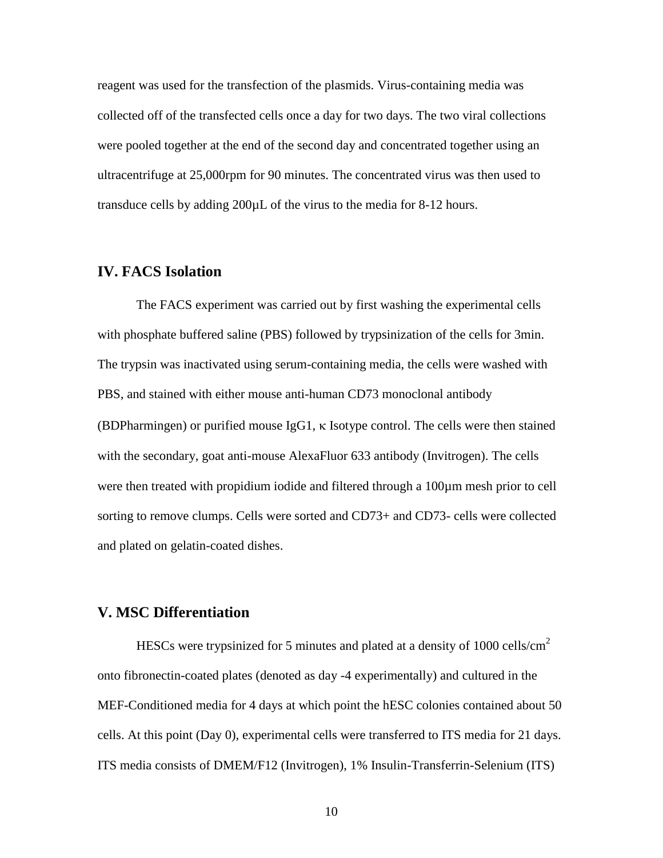reagent was used for the transfection of the plasmids. Virus-containing media was collected off of the transfected cells once a day for two days. The two viral collections were pooled together at the end of the second day and concentrated together using an ultracentrifuge at 25,000rpm for 90 minutes. The concentrated virus was then used to transduce cells by adding 200µL of the virus to the media for 8-12 hours.

#### **IV. FACS Isolation**

The FACS experiment was carried out by first washing the experimental cells with phosphate buffered saline (PBS) followed by trypsinization of the cells for 3min. The trypsin was inactivated using serum-containing media, the cells were washed with PBS, and stained with either mouse anti-human CD73 monoclonal antibody (BDPharmingen) or purified mouse IgG1,  $\kappa$  Isotype control. The cells were then stained with the secondary, goat anti-mouse AlexaFluor 633 antibody (Invitrogen). The cells were then treated with propidium iodide and filtered through a 100 $\mu$ m mesh prior to cell sorting to remove clumps. Cells were sorted and CD73+ and CD73- cells were collected and plated on gelatin-coated dishes.

#### **V. MSC Differentiation**

HESCs were trypsinized for 5 minutes and plated at a density of 1000 cells/ $\text{cm}^2$ onto fibronectin-coated plates (denoted as day -4 experimentally) and cultured in the MEF-Conditioned media for 4 days at which point the hESC colonies contained about 50 cells. At this point (Day 0), experimental cells were transferred to ITS media for 21 days. ITS media consists of DMEM/F12 (Invitrogen), 1% Insulin-Transferrin-Selenium (ITS)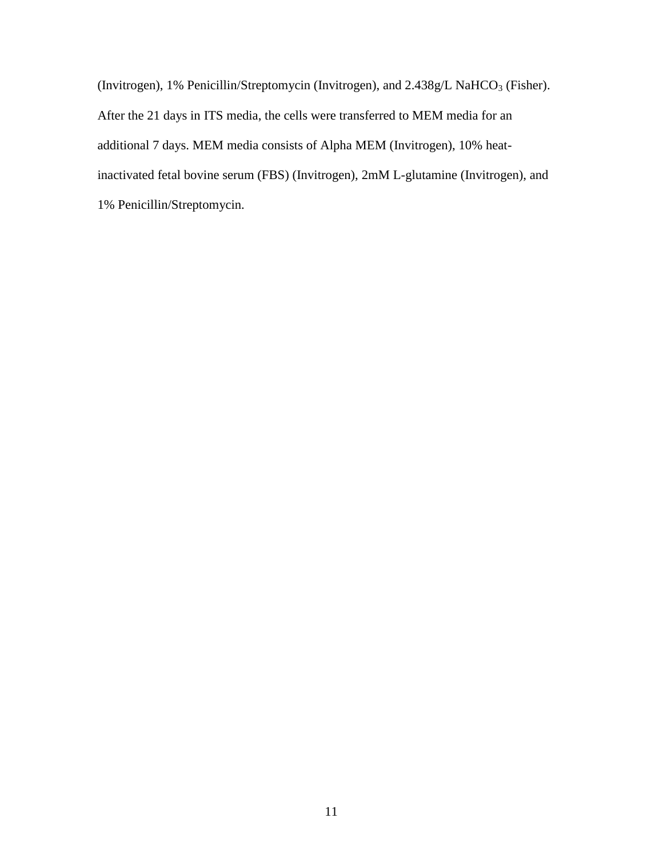(Invitrogen), 1% Penicillin/Streptomycin (Invitrogen), and  $2.438g/L$  NaHCO<sub>3</sub> (Fisher). After the 21 days in ITS media, the cells were transferred to MEM media for an additional 7 days. MEM media consists of Alpha MEM (Invitrogen), 10% heatinactivated fetal bovine serum (FBS) (Invitrogen), 2mM L-glutamine (Invitrogen), and 1% Penicillin/Streptomycin.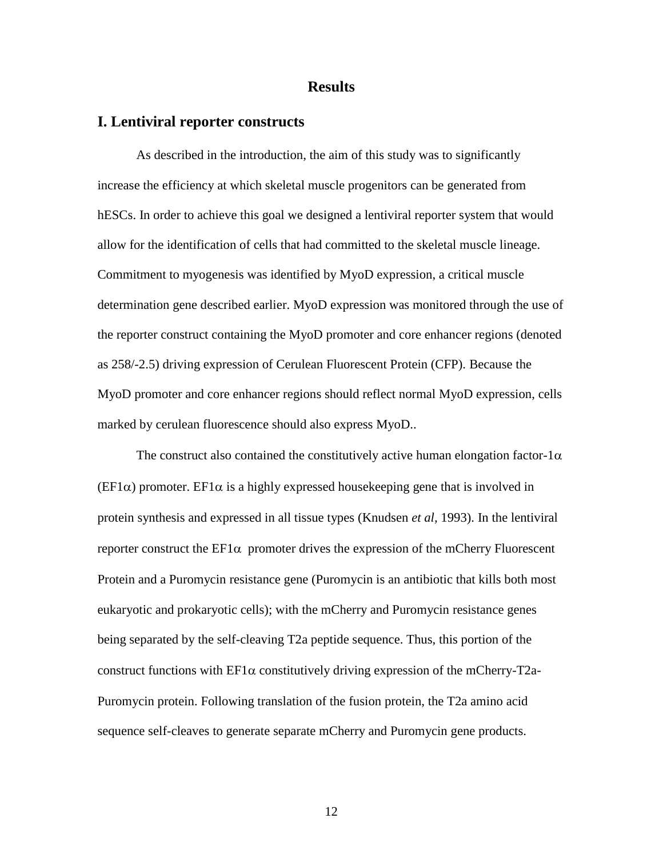#### **Results**

#### **I. Lentiviral reporter constructs**

As described in the introduction, the aim of this study was to significantly increase the efficiency at which skeletal muscle progenitors can be generated from hESCs. In order to achieve this goal we designed a lentiviral reporter system that would allow for the identification of cells that had committed to the skeletal muscle lineage. Commitment to myogenesis was identified by MyoD expression, a critical muscle determination gene described earlier. MyoD expression was monitored through the use of the reporter construct containing the MyoD promoter and core enhancer regions (denoted as 258/-2.5) driving expression of Cerulean Fluorescent Protein (CFP). Because the MyoD promoter and core enhancer regions should reflect normal MyoD expression, cells marked by cerulean fluorescence should also express MyoD..

The construct also contained the constitutively active human elongation factor-1 $\alpha$ (EF1 $\alpha$ ) promoter. EF1 $\alpha$  is a highly expressed housekeeping gene that is involved in protein synthesis and expressed in all tissue types (Knudsen *et al,* 1993). In the lentiviral reporter construct the  $EFA$  promoter drives the expression of the mCherry Fluorescent Protein and a Puromycin resistance gene (Puromycin is an antibiotic that kills both most eukaryotic and prokaryotic cells); with the mCherry and Puromycin resistance genes being separated by the self-cleaving T2a peptide sequence. Thus, this portion of the construct functions with  $EFA$  constitutively driving expression of the mCherry-T2a-Puromycin protein. Following translation of the fusion protein, the T2a amino acid sequence self-cleaves to generate separate mCherry and Puromycin gene products.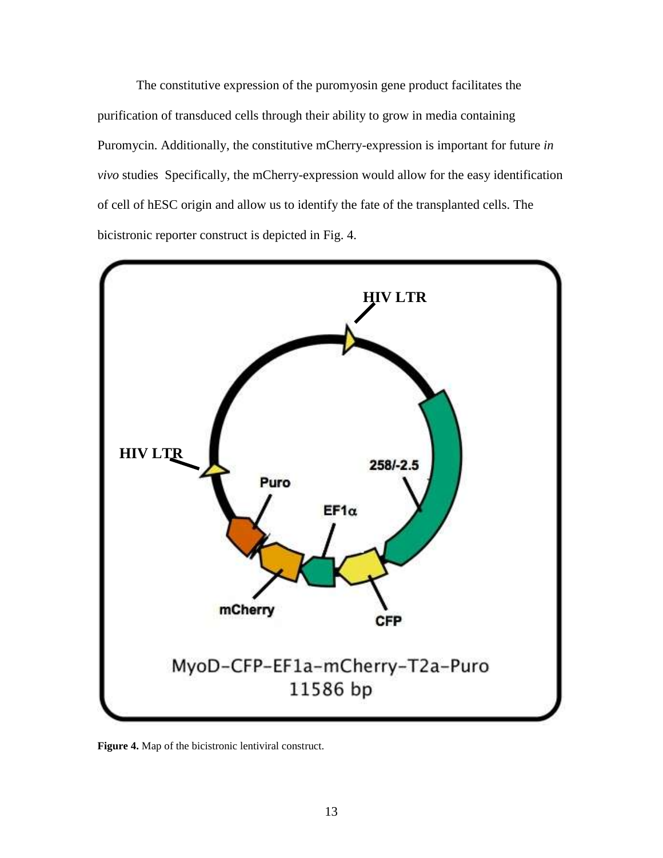The constitutive expression of the puromyosin gene product facilitates the purification of transduced cells through their ability to grow in media containing Puromycin. Additionally, the constitutive mCherry-expression is important for future *in vivo* studies Specifically, the mCherry-expression would allow for the easy identification of cell of hESC origin and allow us to identify the fate of the transplanted cells. The bicistronic reporter construct is depicted in Fig. 4.



**Figure 4.** Map of the bicistronic lentiviral construct.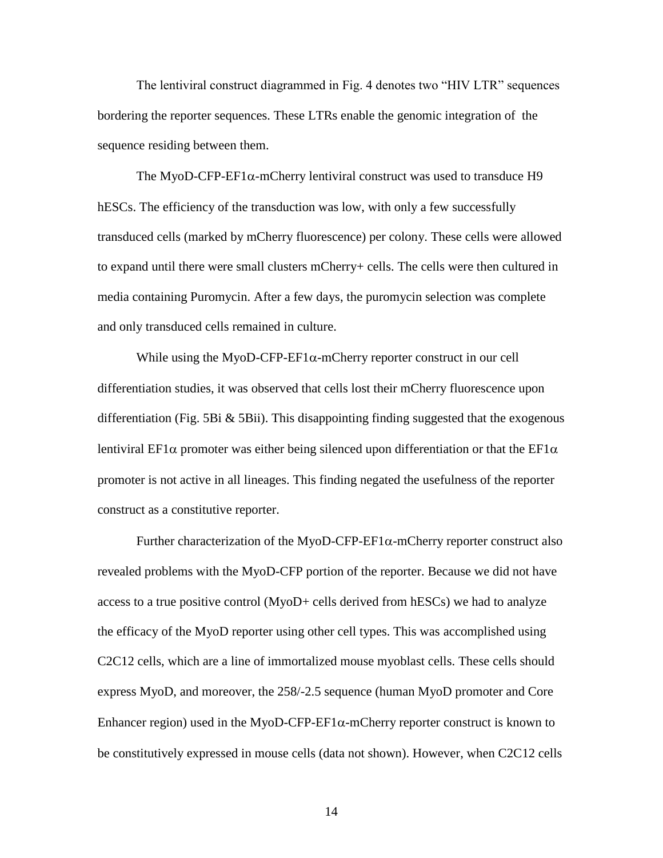The lentiviral construct diagrammed in Fig. 4 denotes two "HIV LTR" sequences bordering the reporter sequences. These LTRs enable the genomic integration of the sequence residing between them.

The MyoD-CFP-EF1 $\alpha$ -mCherry lentiviral construct was used to transduce H9 hESCs. The efficiency of the transduction was low, with only a few successfully transduced cells (marked by mCherry fluorescence) per colony. These cells were allowed to expand until there were small clusters mCherry+ cells. The cells were then cultured in media containing Puromycin. After a few days, the puromycin selection was complete and only transduced cells remained in culture.

While using the MyoD-CFP-EF1 $\alpha$ -mCherry reporter construct in our cell differentiation studies, it was observed that cells lost their mCherry fluorescence upon differentiation (Fig. 5Bi  $&$  5Bii). This disappointing finding suggested that the exogenous lentiviral EF1 $\alpha$  promoter was either being silenced upon differentiation or that the EF1 $\alpha$ promoter is not active in all lineages. This finding negated the usefulness of the reporter construct as a constitutive reporter.

Further characterization of the MyoD-CFP-EF1 $\alpha$ -mCherry reporter construct also revealed problems with the MyoD-CFP portion of the reporter. Because we did not have access to a true positive control (MyoD+ cells derived from hESCs) we had to analyze the efficacy of the MyoD reporter using other cell types. This was accomplished using C2C12 cells, which are a line of immortalized mouse myoblast cells. These cells should express MyoD, and moreover, the 258/-2.5 sequence (human MyoD promoter and Core Enhancer region) used in the MyoD-CFP-EF1 $\alpha$ -mCherry reporter construct is known to be constitutively expressed in mouse cells (data not shown). However, when C2C12 cells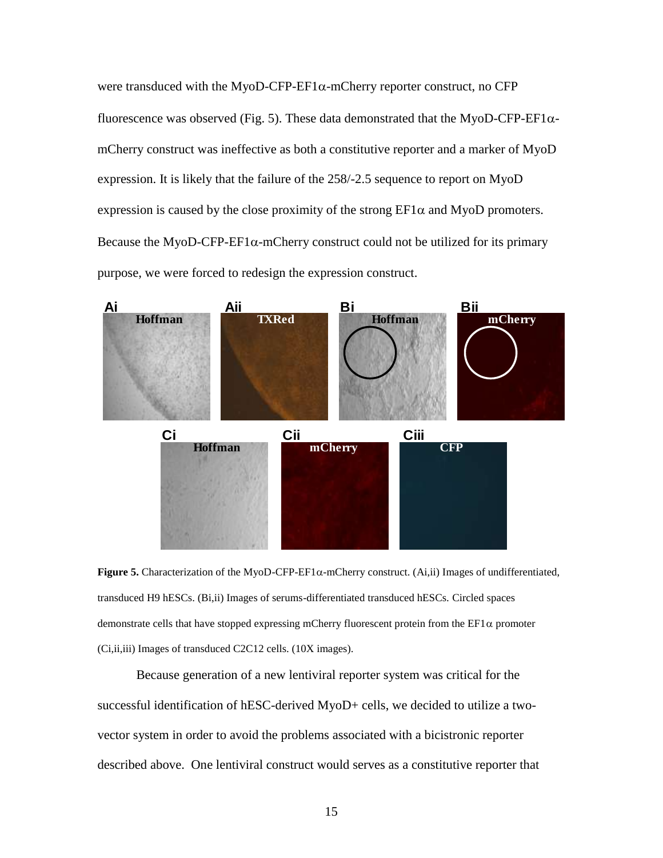were transduced with the MyoD-CFP-EF1 $\alpha$ -mCherry reporter construct, no CFP fluorescence was observed (Fig. 5). These data demonstrated that the MyoD-CFP-EF1 $\alpha$ mCherry construct was ineffective as both a constitutive reporter and a marker of MyoD expression. It is likely that the failure of the 258/-2.5 sequence to report on MyoD expression is caused by the close proximity of the strong  $EFI\alpha$  and MyoD promoters. Because the MyoD-CFP-EF1 $\alpha$ -mCherry construct could not be utilized for its primary<br>
purpose, we were forced to redesign the expression construct.<br> **Ai Aii Bi Bii Bii Bii Bii Bii Bii Bii Bii Bii B** purpose, we were forced to redesign the expression construct.



**Figure 5.** Characterization of the MyoD-CFP-EF1 $\alpha$ -mCherry construct. (Ai,ii) Images of undifferentiated, transduced H9 hESCs. (Bi,ii) Images of serums-differentiated transduced hESCs. Circled spaces demonstrate cells that have stopped expressing mCherry fluorescent protein from the  $EFA$  promoter (Ci,ii,iii) Images of transduced C2C12 cells. (10X images).

Because generation of a new lentiviral reporter system was critical for the successful identification of hESC-derived MyoD+ cells, we decided to utilize a twovector system in order to avoid the problems associated with a bicistronic reporter described above. One lentiviral construct would serves as a constitutive reporter that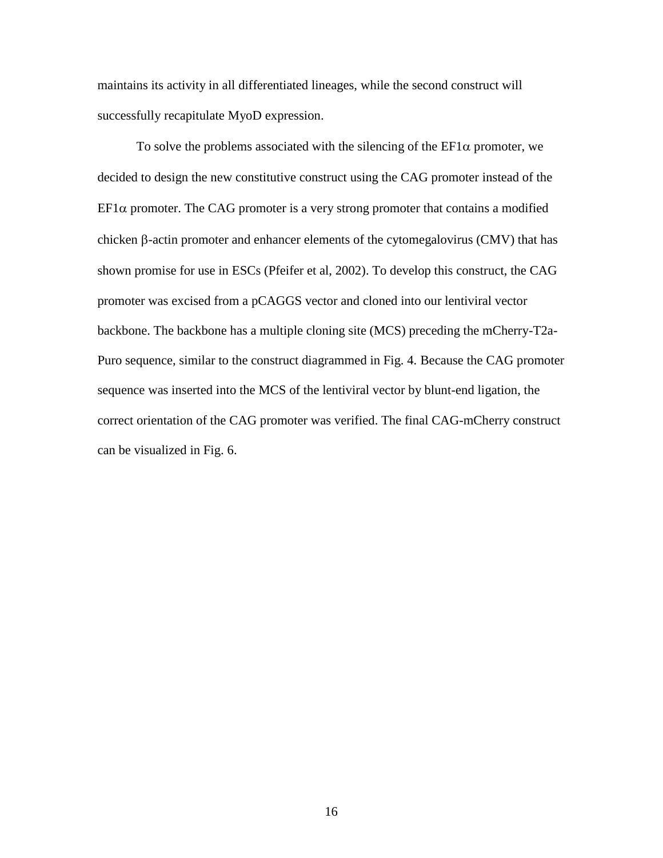maintains its activity in all differentiated lineages, while the second construct will successfully recapitulate MyoD expression.

To solve the problems associated with the silencing of the  $EFA$  promoter, we decided to design the new constitutive construct using the CAG promoter instead of the  $EFA$  promoter. The CAG promoter is a very strong promoter that contains a modified chicken  $\beta$ -actin promoter and enhancer elements of the cytomegalovirus (CMV) that has shown promise for use in ESCs (Pfeifer et al, 2002). To develop this construct, the CAG promoter was excised from a pCAGGS vector and cloned into our lentiviral vector backbone. The backbone has a multiple cloning site (MCS) preceding the mCherry-T2a-Puro sequence, similar to the construct diagrammed in Fig. 4. Because the CAG promoter sequence was inserted into the MCS of the lentiviral vector by blunt-end ligation, the correct orientation of the CAG promoter was verified. The final CAG-mCherry construct can be visualized in Fig. 6.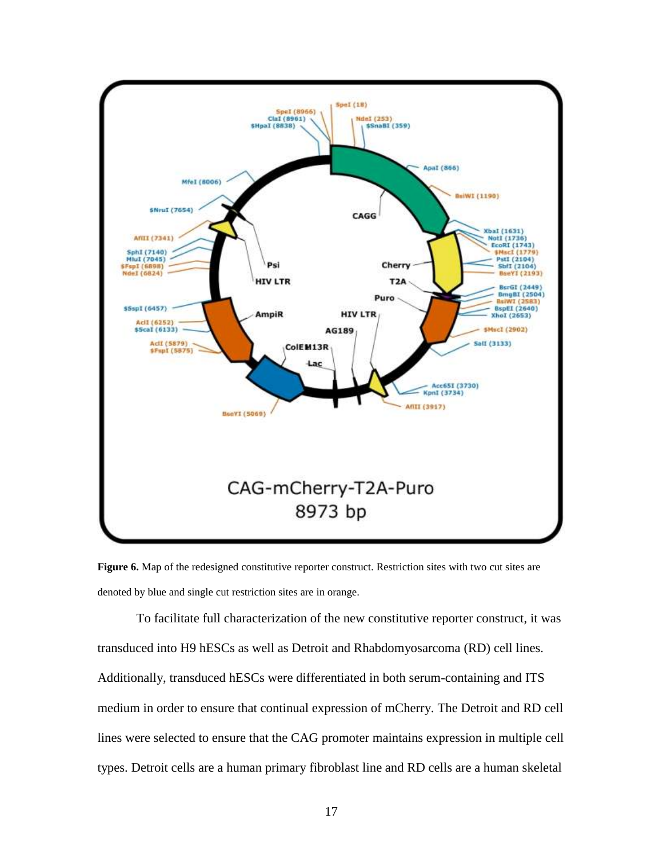

Figure 6. Map of the redesigned constitutive reporter construct. Restriction sites with two cut sites are denoted by blue and single cut restriction sites are in orange.

To facilitate full characterization of the new constitutive reporter construct, it was transduced into H9 hESCs as well as Detroit and Rhabdomyosarcoma (RD) cell lines. Additionally, transduced hESCs were differentiated in both serum-containing and ITS medium in order to ensure that continual expression of mCherry. The Detroit and RD cell lines were selected to ensure that the CAG promoter maintains expression in multiple cell types. Detroit cells are a human primary fibroblast line and RD cells are a human skeletal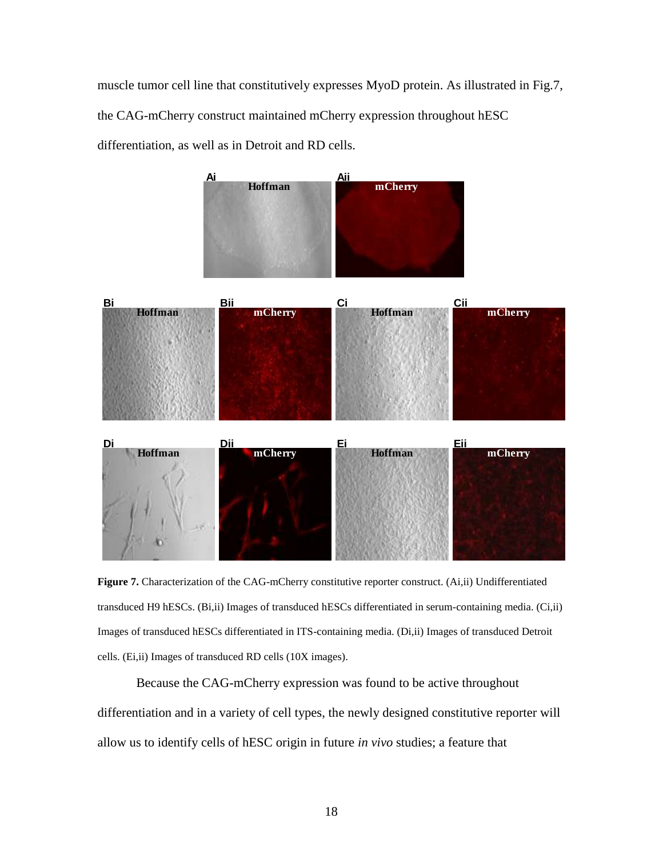muscle tumor cell line that constitutively expresses MyoD protein. As illustrated in Fig.7, the CAG-mCherry construct maintained mCherry expression throughout hESC differentiation, as well as in Detroit and RD cells.



**Figure 7.** Characterization of the CAG-mCherry constitutive reporter construct. (Ai,ii) Undifferentiated transduced H9 hESCs. (Bi,ii) Images of transduced hESCs differentiated in serum-containing media. (Ci,ii) Images of transduced hESCs differentiated in ITS-containing media. (Di,ii) Images of transduced Detroit cells. (Ei,ii) Images of transduced RD cells (10X images).

Because the CAG-mCherry expression was found to be active throughout differentiation and in a variety of cell types, the newly designed constitutive reporter will allow us to identify cells of hESC origin in future *in vivo* studies; a feature that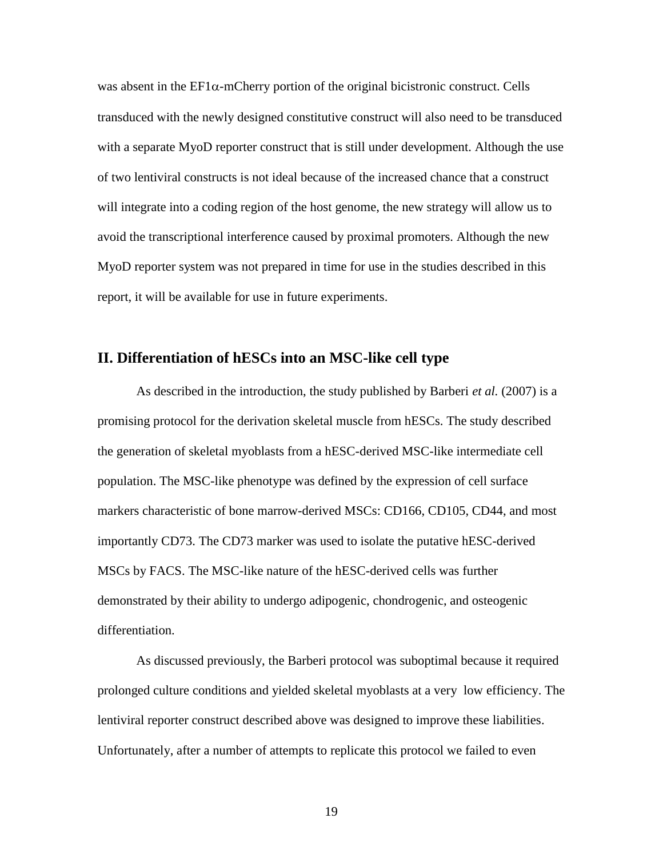was absent in the  $EFA$ -mCherry portion of the original bicistronic construct. Cells transduced with the newly designed constitutive construct will also need to be transduced with a separate MyoD reporter construct that is still under development. Although the use of two lentiviral constructs is not ideal because of the increased chance that a construct will integrate into a coding region of the host genome, the new strategy will allow us to avoid the transcriptional interference caused by proximal promoters. Although the new MyoD reporter system was not prepared in time for use in the studies described in this report, it will be available for use in future experiments.

#### **II. Differentiation of hESCs into an MSC-like cell type**

As described in the introduction, the study published by Barberi *et al.* (2007) is a promising protocol for the derivation skeletal muscle from hESCs. The study described the generation of skeletal myoblasts from a hESC-derived MSC-like intermediate cell population. The MSC-like phenotype was defined by the expression of cell surface markers characteristic of bone marrow-derived MSCs: CD166, CD105, CD44, and most importantly CD73. The CD73 marker was used to isolate the putative hESC-derived MSCs by FACS. The MSC-like nature of the hESC-derived cells was further demonstrated by their ability to undergo adipogenic, chondrogenic, and osteogenic differentiation.

As discussed previously, the Barberi protocol was suboptimal because it required prolonged culture conditions and yielded skeletal myoblasts at a very low efficiency. The lentiviral reporter construct described above was designed to improve these liabilities. Unfortunately, after a number of attempts to replicate this protocol we failed to even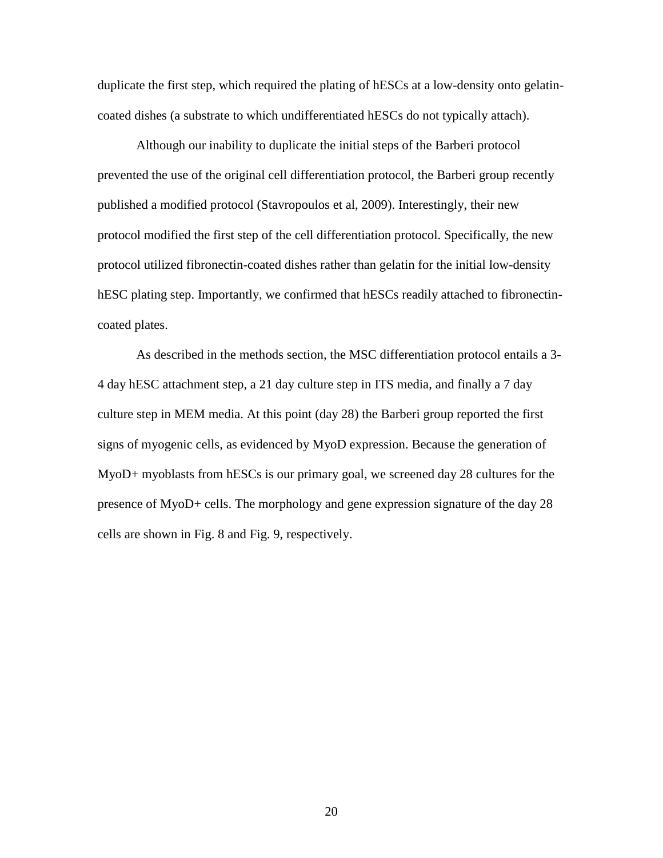duplicate the first step, which required the plating of hESCs at a low-density onto gelatincoated dishes (a substrate to which undifferentiated hESCs do not typically attach).

Although our inability to duplicate the initial steps of the Barberi protocol prevented the use of the original cell differentiation protocol, the Barberi group recently published a modified protocol (Stavropoulos et al, 2009). Interestingly, their new protocol modified the first step of the cell differentiation protocol. Specifically, the new protocol utilized fibronectin-coated dishes rather than gelatin for the initial low-density hESC plating step. Importantly, we confirmed that hESCs readily attached to fibronectincoated plates.

As described in the methods section, the MSC differentiation protocol entails a 3- 4 day hESC attachment step, a 21 day culture step in ITS media, and finally a 7 day culture step in MEM media. At this point (day 28) the Barberi group reported the first signs of myogenic cells, as evidenced by MyoD expression. Because the generation of MyoD+ myoblasts from hESCs is our primary goal, we screened day 28 cultures for the presence of MyoD+ cells. The morphology and gene expression signature of the day 28 cells are shown in Fig. 8 and Fig. 9, respectively.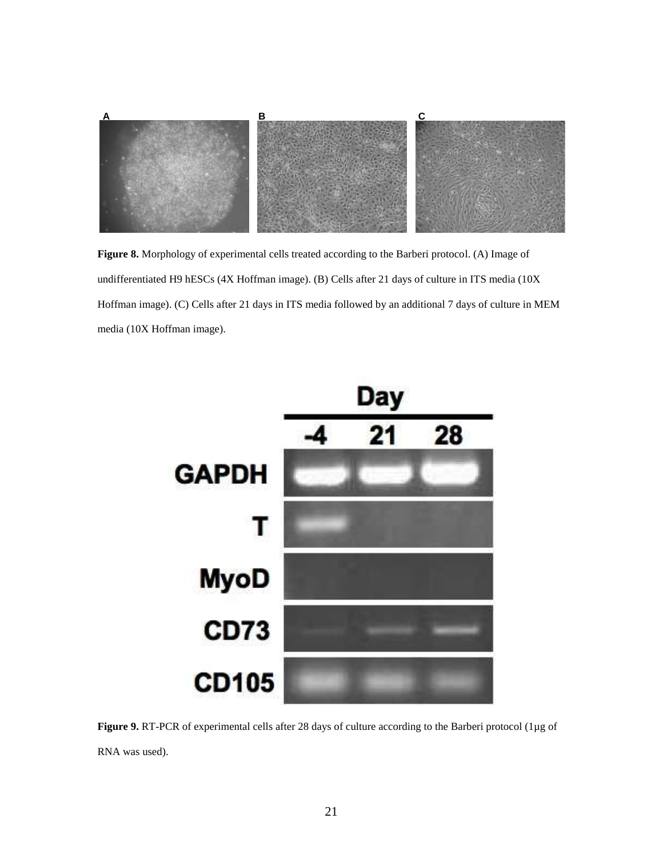

**Figure 8.** Morphology of experimental cells treated according to the Barberi protocol. (A) Image of undifferentiated H9 hESCs (4X Hoffman image). (B) Cells after 21 days of culture in ITS media (10X Hoffman image). (C) Cells after 21 days in ITS media followed by an additional 7 days of culture in MEM media (10X Hoffman image).



**Figure 9.** RT-PCR of experimental cells after 28 days of culture according to the Barberi protocol (1µg of RNA was used).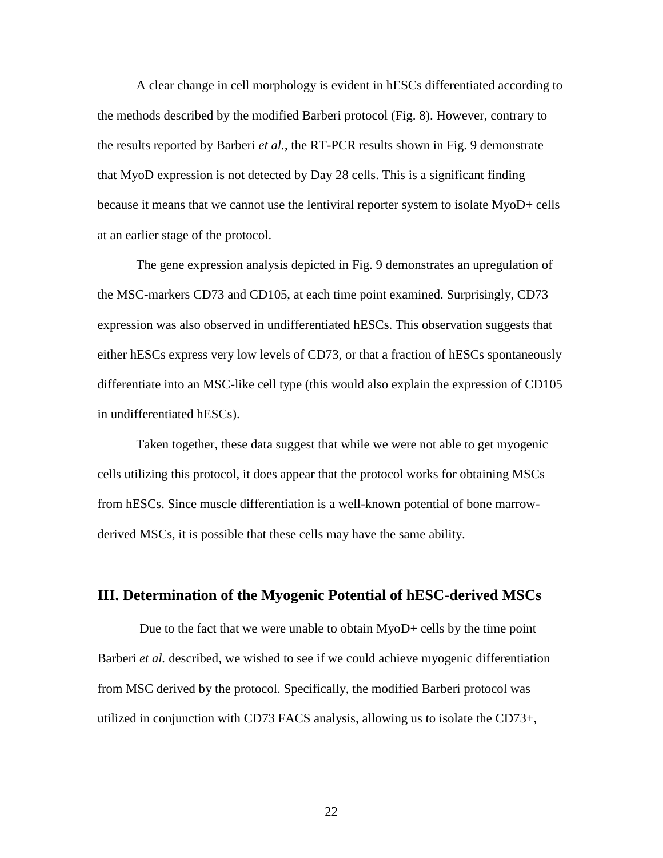A clear change in cell morphology is evident in hESCs differentiated according to the methods described by the modified Barberi protocol (Fig. 8). However, contrary to the results reported by Barberi *et al.*, the RT-PCR results shown in Fig. 9 demonstrate that MyoD expression is not detected by Day 28 cells. This is a significant finding because it means that we cannot use the lentiviral reporter system to isolate MyoD+ cells at an earlier stage of the protocol.

The gene expression analysis depicted in Fig. 9 demonstrates an upregulation of the MSC-markers CD73 and CD105, at each time point examined. Surprisingly, CD73 expression was also observed in undifferentiated hESCs. This observation suggests that either hESCs express very low levels of CD73, or that a fraction of hESCs spontaneously differentiate into an MSC-like cell type (this would also explain the expression of CD105 in undifferentiated hESCs).

Taken together, these data suggest that while we were not able to get myogenic cells utilizing this protocol, it does appear that the protocol works for obtaining MSCs from hESCs. Since muscle differentiation is a well-known potential of bone marrowderived MSCs, it is possible that these cells may have the same ability.

## **III. Determination of the Myogenic Potential of hESC-derived MSCs**

Due to the fact that we were unable to obtain MyoD+ cells by the time point Barberi *et al.* described, we wished to see if we could achieve myogenic differentiation from MSC derived by the protocol. Specifically, the modified Barberi protocol was utilized in conjunction with CD73 FACS analysis, allowing us to isolate the CD73+,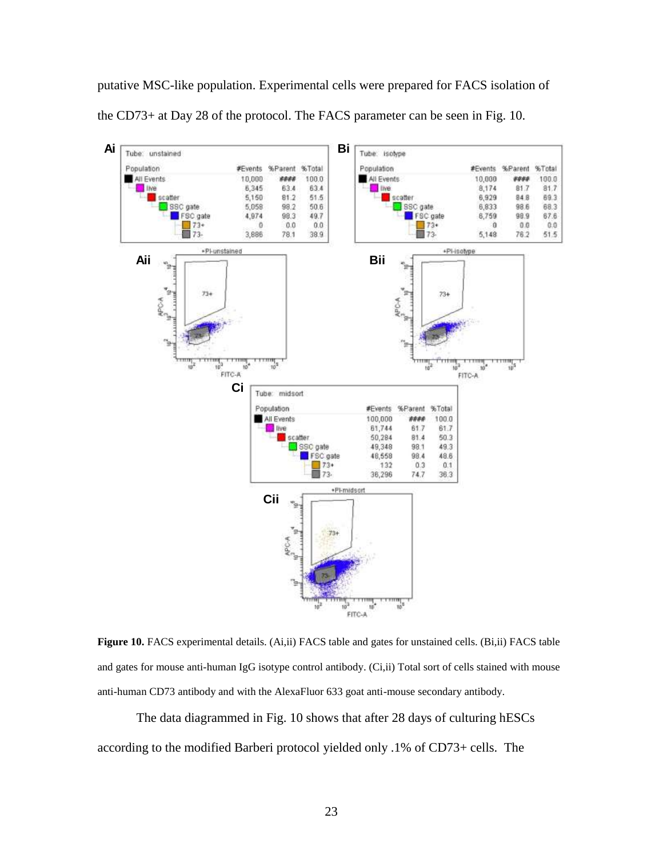putative MSC-like population. Experimental cells were prepared for FACS isolation of the CD73+ at Day 28 of the protocol. The FACS parameter can be seen in Fig. 10.



**Figure 10.** FACS experimental details. (Ai,ii) FACS table and gates for unstained cells. (Bi,ii) FACS table and gates for mouse anti-human IgG isotype control antibody. (Ci,ii) Total sort of cells stained with mouse anti-human CD73 antibody and with the AlexaFluor 633 goat anti-mouse secondary antibody.

The data diagrammed in Fig. 10 shows that after 28 days of culturing hESCs according to the modified Barberi protocol yielded only .1% of CD73+ cells. The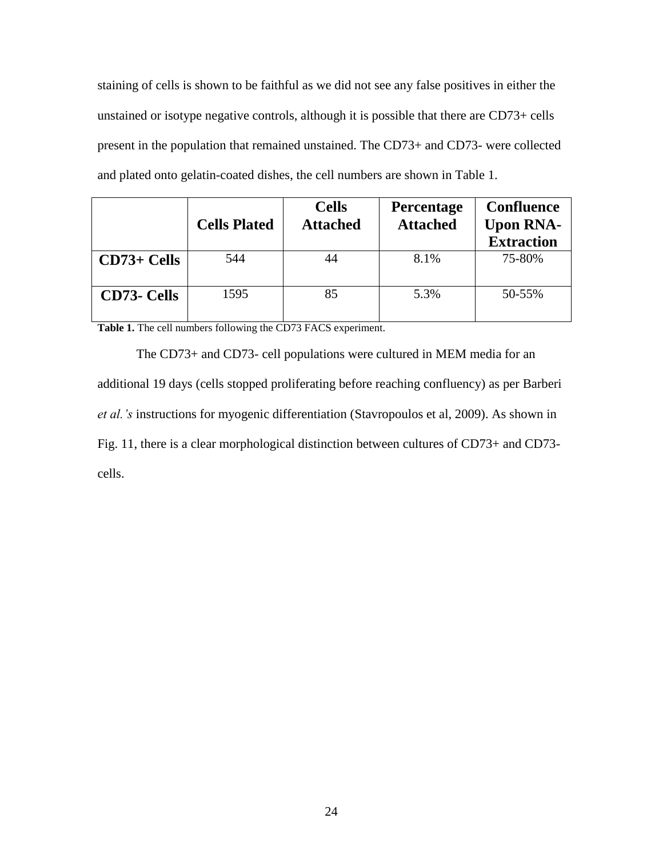staining of cells is shown to be faithful as we did not see any false positives in either the unstained or isotype negative controls, although it is possible that there are CD73+ cells present in the population that remained unstained. The CD73+ and CD73- were collected and plated onto gelatin-coated dishes, the cell numbers are shown in Table 1.

|                    | <b>Cells Plated</b> | <b>Cells</b><br><b>Attached</b> | <b>Percentage</b><br><b>Attached</b> | <b>Confluence</b><br><b>Upon RNA-</b><br><b>Extraction</b> |
|--------------------|---------------------|---------------------------------|--------------------------------------|------------------------------------------------------------|
| $CD73+Cells$       | 544                 |                                 | 8.1%                                 | 75-80%                                                     |
| <b>CD73- Cells</b> | 1595                | 85                              | 5.3%                                 | 50-55%                                                     |

**Table 1.** The cell numbers following the CD73 FACS experiment.

The CD73+ and CD73- cell populations were cultured in MEM media for an additional 19 days (cells stopped proliferating before reaching confluency) as per Barberi *et al.'s* instructions for myogenic differentiation (Stavropoulos et al, 2009). As shown in Fig. 11, there is a clear morphological distinction between cultures of CD73+ and CD73 cells.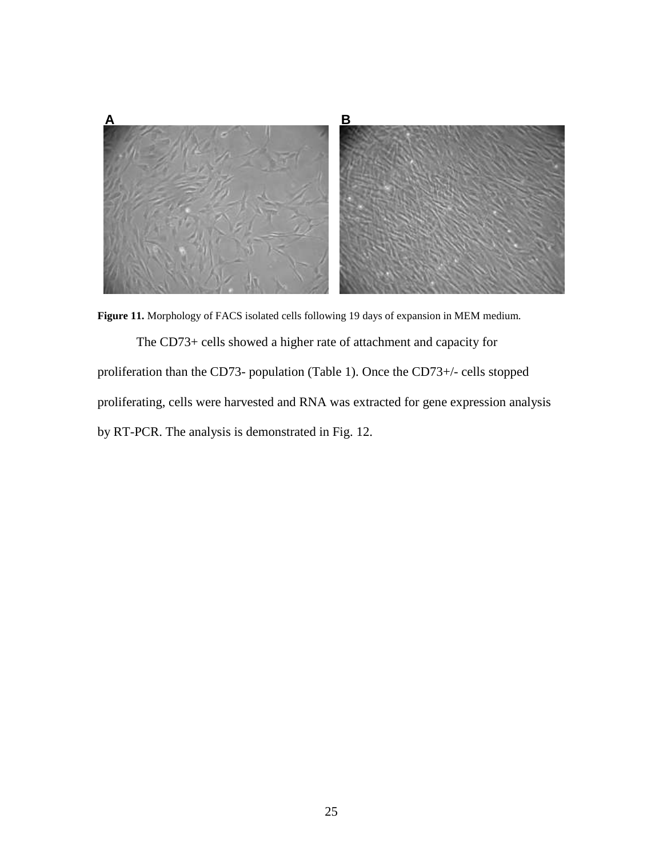

**Figure 11.** Morphology of FACS isolated cells following 19 days of expansion in MEM medium.

The CD73+ cells showed a higher rate of attachment and capacity for proliferation than the CD73- population (Table 1). Once the CD73+/- cells stopped proliferating, cells were harvested and RNA was extracted for gene expression analysis by RT-PCR. The analysis is demonstrated in Fig. 12.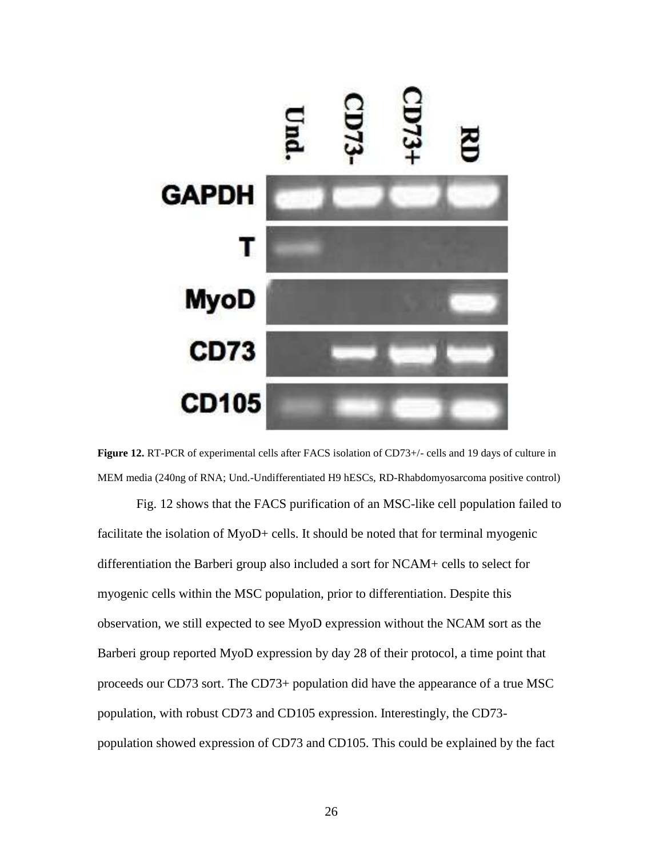

Figure 12. RT-PCR of experimental cells after FACS isolation of CD73+/- cells and 19 days of culture in MEM media (240ng of RNA; Und.-Undifferentiated H9 hESCs, RD-Rhabdomyosarcoma positive control)

Fig. 12 shows that the FACS purification of an MSC-like cell population failed to facilitate the isolation of MyoD+ cells. It should be noted that for terminal myogenic differentiation the Barberi group also included a sort for NCAM+ cells to select for myogenic cells within the MSC population, prior to differentiation. Despite this observation, we still expected to see MyoD expression without the NCAM sort as the Barberi group reported MyoD expression by day 28 of their protocol, a time point that proceeds our CD73 sort. The CD73+ population did have the appearance of a true MSC population, with robust CD73 and CD105 expression. Interestingly, the CD73 population showed expression of CD73 and CD105. This could be explained by the fact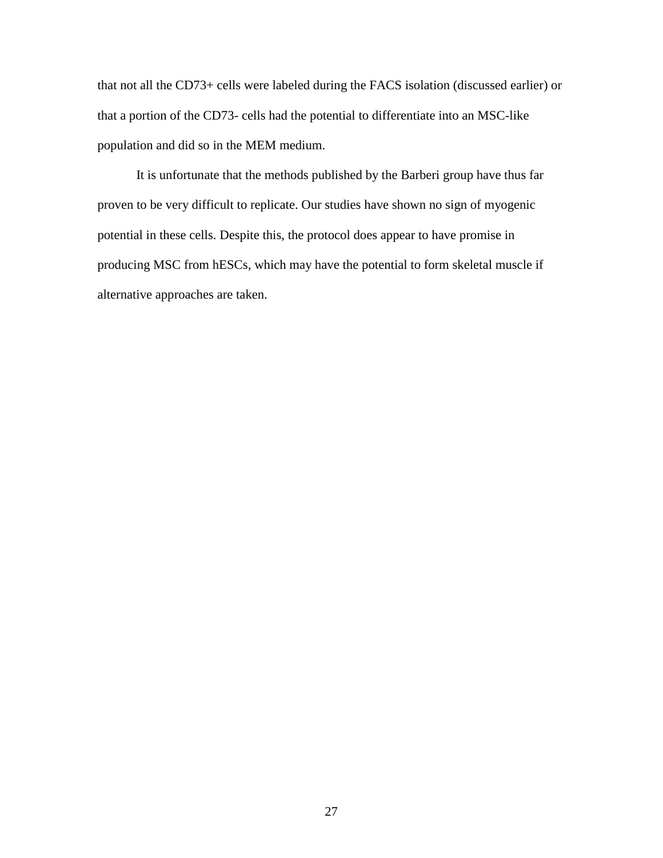that not all the CD73+ cells were labeled during the FACS isolation (discussed earlier) or that a portion of the CD73- cells had the potential to differentiate into an MSC-like population and did so in the MEM medium.

It is unfortunate that the methods published by the Barberi group have thus far proven to be very difficult to replicate. Our studies have shown no sign of myogenic potential in these cells. Despite this, the protocol does appear to have promise in producing MSC from hESCs, which may have the potential to form skeletal muscle if alternative approaches are taken.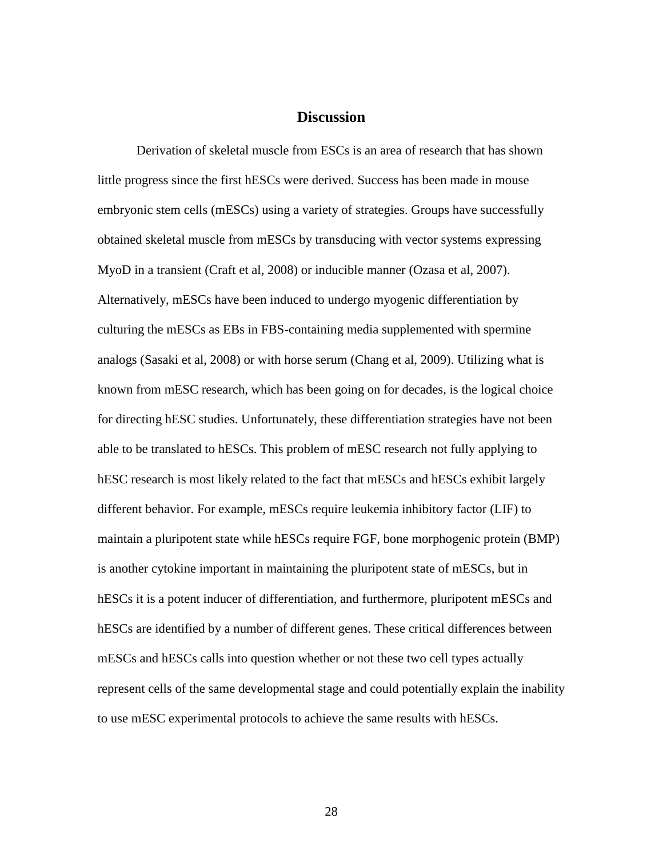#### **Discussion**

Derivation of skeletal muscle from ESCs is an area of research that has shown little progress since the first hESCs were derived. Success has been made in mouse embryonic stem cells (mESCs) using a variety of strategies. Groups have successfully obtained skeletal muscle from mESCs by transducing with vector systems expressing MyoD in a transient (Craft et al, 2008) or inducible manner (Ozasa et al, 2007). Alternatively, mESCs have been induced to undergo myogenic differentiation by culturing the mESCs as EBs in FBS-containing media supplemented with spermine analogs (Sasaki et al, 2008) or with horse serum (Chang et al, 2009). Utilizing what is known from mESC research, which has been going on for decades, is the logical choice for directing hESC studies. Unfortunately, these differentiation strategies have not been able to be translated to hESCs. This problem of mESC research not fully applying to hESC research is most likely related to the fact that mESCs and hESCs exhibit largely different behavior. For example, mESCs require leukemia inhibitory factor (LIF) to maintain a pluripotent state while hESCs require FGF, bone morphogenic protein (BMP) is another cytokine important in maintaining the pluripotent state of mESCs, but in hESCs it is a potent inducer of differentiation, and furthermore, pluripotent mESCs and hESCs are identified by a number of different genes. These critical differences between mESCs and hESCs calls into question whether or not these two cell types actually represent cells of the same developmental stage and could potentially explain the inability to use mESC experimental protocols to achieve the same results with hESCs.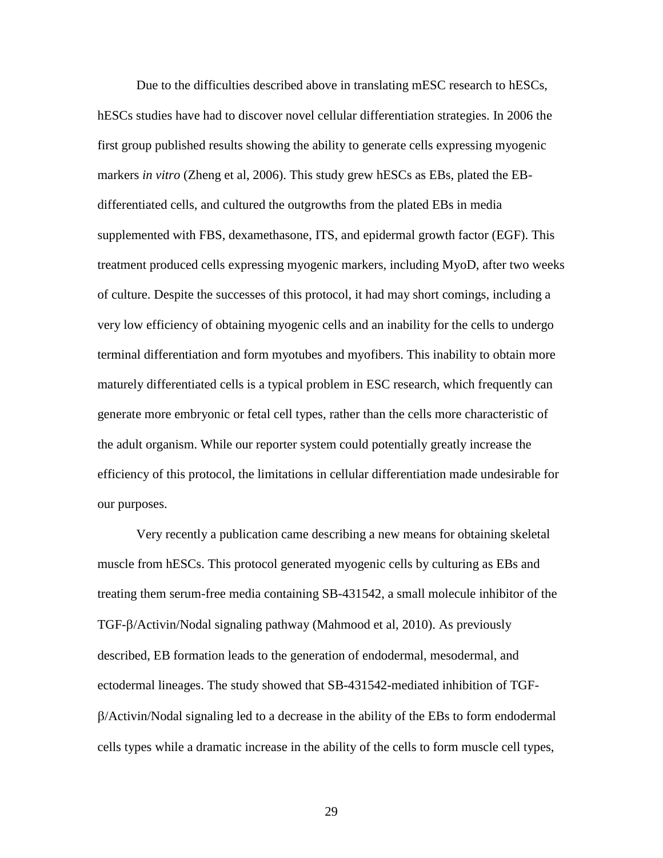Due to the difficulties described above in translating mESC research to hESCs, hESCs studies have had to discover novel cellular differentiation strategies. In 2006 the first group published results showing the ability to generate cells expressing myogenic markers *in vitro* (Zheng et al, 2006). This study grew hESCs as EBs, plated the EBdifferentiated cells, and cultured the outgrowths from the plated EBs in media supplemented with FBS, dexamethasone, ITS, and epidermal growth factor (EGF). This treatment produced cells expressing myogenic markers, including MyoD, after two weeks of culture. Despite the successes of this protocol, it had may short comings, including a very low efficiency of obtaining myogenic cells and an inability for the cells to undergo terminal differentiation and form myotubes and myofibers. This inability to obtain more maturely differentiated cells is a typical problem in ESC research, which frequently can generate more embryonic or fetal cell types, rather than the cells more characteristic of the adult organism. While our reporter system could potentially greatly increase the efficiency of this protocol, the limitations in cellular differentiation made undesirable for our purposes.

Very recently a publication came describing a new means for obtaining skeletal muscle from hESCs. This protocol generated myogenic cells by culturing as EBs and treating them serum-free media containing SB-431542, a small molecule inhibitor of the TGF-β/Activin/Nodal signaling pathway (Mahmood et al, 2010). As previously described, EB formation leads to the generation of endodermal, mesodermal, and ectodermal lineages. The study showed that SB-431542-mediated inhibition of TGF- /Activin/Nodal signaling led to a decrease in the ability of the EBs to form endodermal cells types while a dramatic increase in the ability of the cells to form muscle cell types,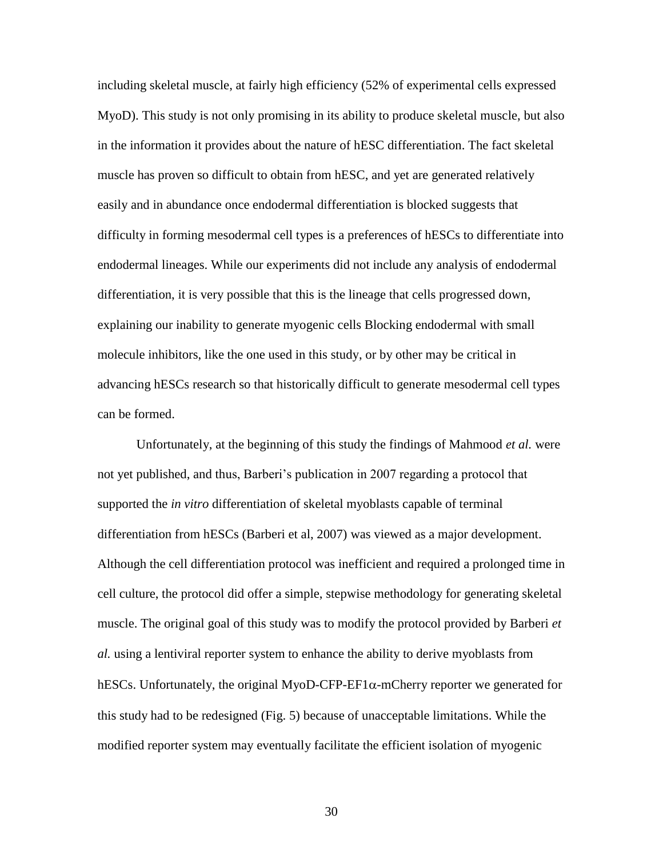including skeletal muscle, at fairly high efficiency (52% of experimental cells expressed MyoD). This study is not only promising in its ability to produce skeletal muscle, but also in the information it provides about the nature of hESC differentiation. The fact skeletal muscle has proven so difficult to obtain from hESC, and yet are generated relatively easily and in abundance once endodermal differentiation is blocked suggests that difficulty in forming mesodermal cell types is a preferences of hESCs to differentiate into endodermal lineages. While our experiments did not include any analysis of endodermal differentiation, it is very possible that this is the lineage that cells progressed down, explaining our inability to generate myogenic cells Blocking endodermal with small molecule inhibitors, like the one used in this study, or by other may be critical in advancing hESCs research so that historically difficult to generate mesodermal cell types can be formed.

Unfortunately, at the beginning of this study the findings of Mahmood *et al.* were not yet published, and thus, Barberi's publication in 2007 regarding a protocol that supported the *in vitro* differentiation of skeletal myoblasts capable of terminal differentiation from hESCs (Barberi et al, 2007) was viewed as a major development. Although the cell differentiation protocol was inefficient and required a prolonged time in cell culture, the protocol did offer a simple, stepwise methodology for generating skeletal muscle. The original goal of this study was to modify the protocol provided by Barberi *et al.* using a lentiviral reporter system to enhance the ability to derive myoblasts from hESCs. Unfortunately, the original MyoD-CFP-EF1 $\alpha$ -mCherry reporter we generated for this study had to be redesigned (Fig. 5) because of unacceptable limitations. While the modified reporter system may eventually facilitate the efficient isolation of myogenic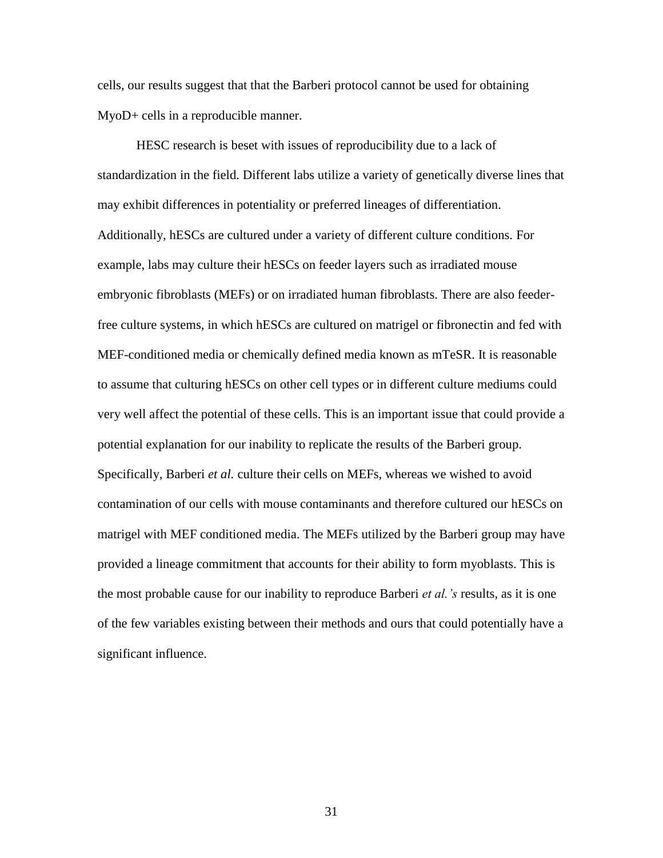cells, our results suggest that that the Barberi protocol cannot be used for obtaining MyoD+ cells in a reproducible manner.

HESC research is beset with issues of reproducibility due to a lack of standardization in the field. Different labs utilize a variety of genetically diverse lines that may exhibit differences in potentiality or preferred lineages of differentiation. Additionally, hESCs are cultured under a variety of different culture conditions. For example, labs may culture their hESCs on feeder layers such as irradiated mouse embryonic fibroblasts (MEFs) or on irradiated human fibroblasts. There are also feederfree culture systems, in which hESCs are cultured on matrigel or fibronectin and fed with MEF-conditioned media or chemically defined media known as mTeSR. It is reasonable to assume that culturing hESCs on other cell types or in different culture mediums could very well affect the potential of these cells. This is an important issue that could provide a potential explanation for our inability to replicate the results of the Barberi group. Specifically, Barberi *et al.* culture their cells on MEFs, whereas we wished to avoid contamination of our cells with mouse contaminants and therefore cultured our hESCs on matrigel with MEF conditioned media. The MEFs utilized by the Barberi group may have provided a lineage commitment that accounts for their ability to form myoblasts. This is the most probable cause for our inability to reproduce Barberi *et al.'s* results, as it is one of the few variables existing between their methods and ours that could potentially have a significant influence.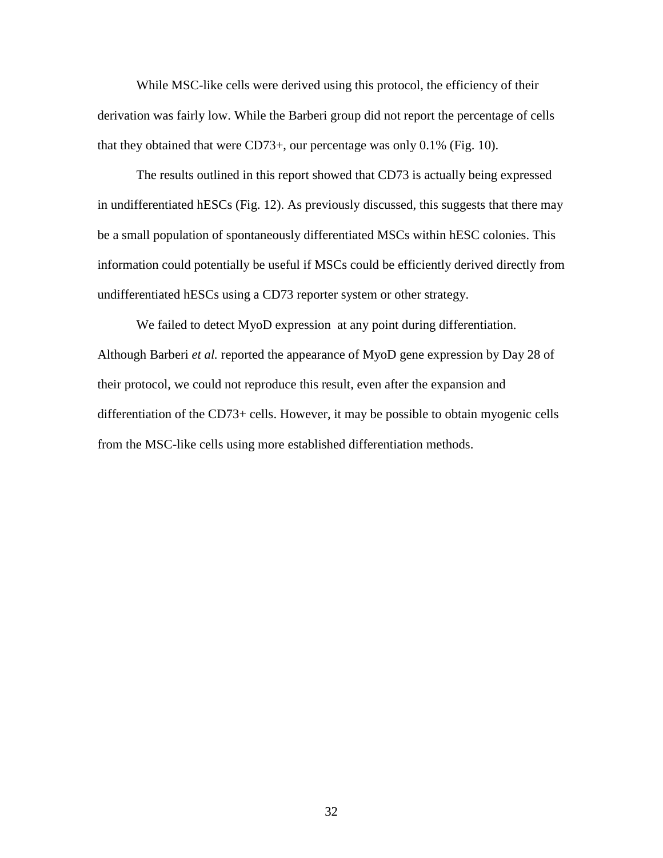While MSC-like cells were derived using this protocol, the efficiency of their derivation was fairly low. While the Barberi group did not report the percentage of cells that they obtained that were CD73+, our percentage was only 0.1% (Fig. 10).

The results outlined in this report showed that CD73 is actually being expressed in undifferentiated hESCs (Fig. 12). As previously discussed, this suggests that there may be a small population of spontaneously differentiated MSCs within hESC colonies. This information could potentially be useful if MSCs could be efficiently derived directly from undifferentiated hESCs using a CD73 reporter system or other strategy.

We failed to detect MyoD expression at any point during differentiation. Although Barberi *et al.* reported the appearance of MyoD gene expression by Day 28 of their protocol, we could not reproduce this result, even after the expansion and differentiation of the CD73+ cells. However, it may be possible to obtain myogenic cells from the MSC-like cells using more established differentiation methods.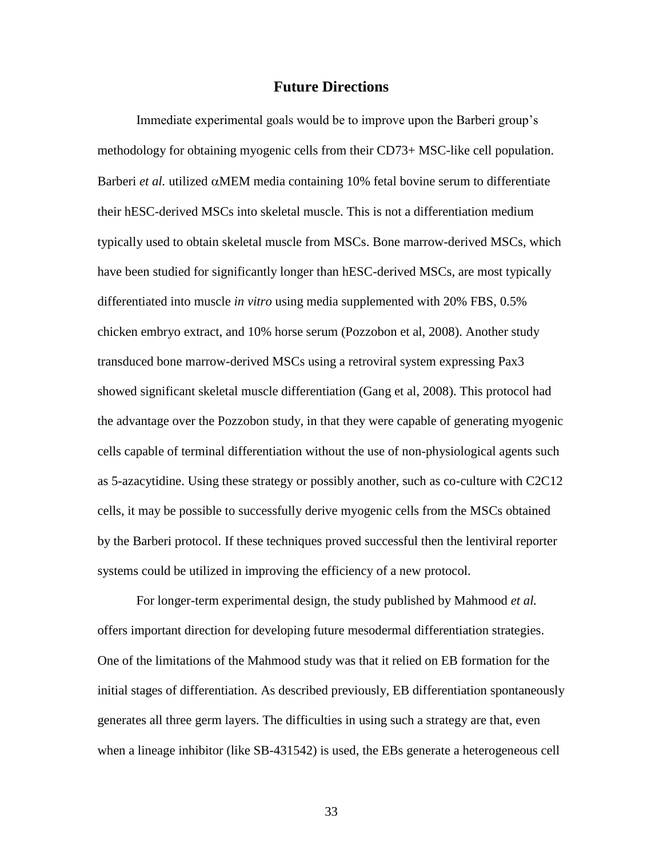#### **Future Directions**

Immediate experimental goals would be to improve upon the Barberi group's methodology for obtaining myogenic cells from their CD73+ MSC-like cell population. Barberi *et al.* utilized  $\alpha$ MEM media containing 10% fetal bovine serum to differentiate their hESC-derived MSCs into skeletal muscle. This is not a differentiation medium typically used to obtain skeletal muscle from MSCs. Bone marrow-derived MSCs, which have been studied for significantly longer than hESC-derived MSCs, are most typically differentiated into muscle *in vitro* using media supplemented with 20% FBS, 0.5% chicken embryo extract, and 10% horse serum (Pozzobon et al, 2008). Another study transduced bone marrow-derived MSCs using a retroviral system expressing Pax3 showed significant skeletal muscle differentiation (Gang et al, 2008). This protocol had the advantage over the Pozzobon study, in that they were capable of generating myogenic cells capable of terminal differentiation without the use of non-physiological agents such as 5-azacytidine. Using these strategy or possibly another, such as co-culture with C2C12 cells, it may be possible to successfully derive myogenic cells from the MSCs obtained by the Barberi protocol. If these techniques proved successful then the lentiviral reporter systems could be utilized in improving the efficiency of a new protocol.

For longer-term experimental design, the study published by Mahmood *et al.* offers important direction for developing future mesodermal differentiation strategies. One of the limitations of the Mahmood study was that it relied on EB formation for the initial stages of differentiation. As described previously, EB differentiation spontaneously generates all three germ layers. The difficulties in using such a strategy are that, even when a lineage inhibitor (like SB-431542) is used, the EBs generate a heterogeneous cell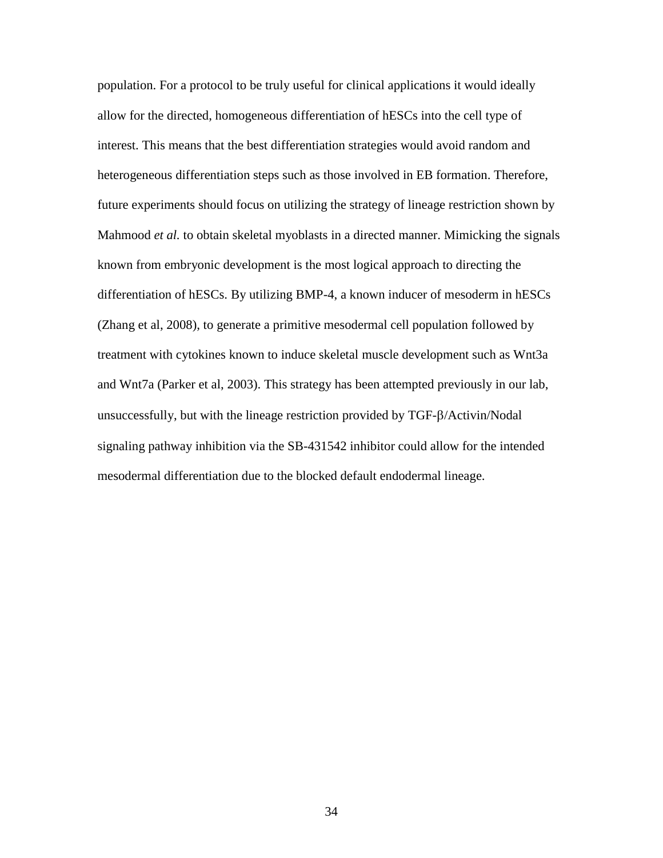population. For a protocol to be truly useful for clinical applications it would ideally allow for the directed, homogeneous differentiation of hESCs into the cell type of interest. This means that the best differentiation strategies would avoid random and heterogeneous differentiation steps such as those involved in EB formation. Therefore, future experiments should focus on utilizing the strategy of lineage restriction shown by Mahmood *et al.* to obtain skeletal myoblasts in a directed manner. Mimicking the signals known from embryonic development is the most logical approach to directing the differentiation of hESCs. By utilizing BMP-4, a known inducer of mesoderm in hESCs (Zhang et al, 2008), to generate a primitive mesodermal cell population followed by treatment with cytokines known to induce skeletal muscle development such as Wnt3a and Wnt7a (Parker et al, 2003). This strategy has been attempted previously in our lab, unsuccessfully, but with the lineage restriction provided by  $TGF- $\beta$ /Activin/Nodal$ signaling pathway inhibition via the SB-431542 inhibitor could allow for the intended mesodermal differentiation due to the blocked default endodermal lineage.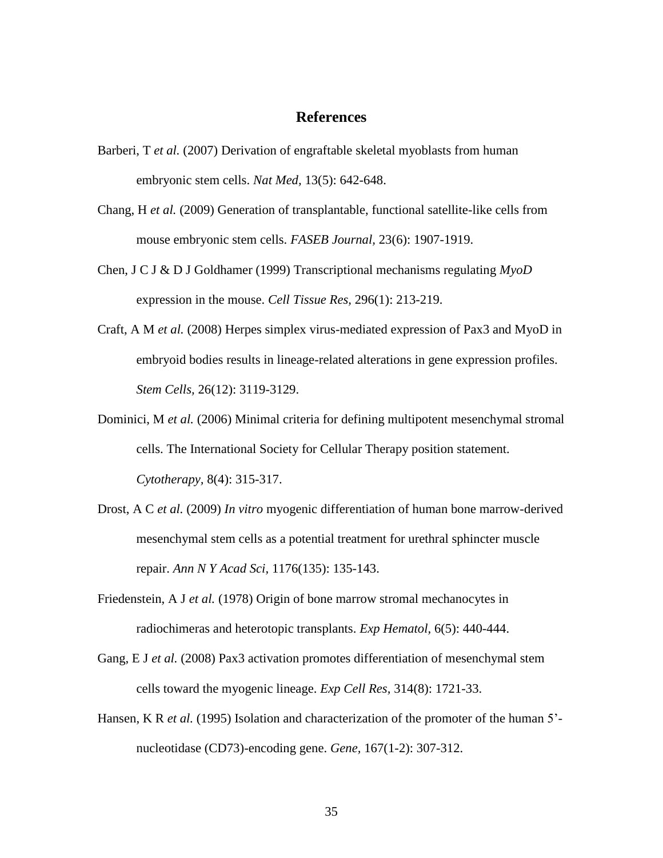#### **References**

- Barberi, T *et al.* (2007) Derivation of engraftable skeletal myoblasts from human embryonic stem cells. *Nat Med,* 13(5): 642-648.
- Chang, H *et al.* (2009) Generation of transplantable, functional satellite-like cells from mouse embryonic stem cells. *FASEB Journal,* 23(6): 1907-1919.
- Chen, J C J & D J Goldhamer (1999) Transcriptional mechanisms regulating *MyoD* expression in the mouse. *Cell Tissue Res,* 296(1): 213-219.
- Craft, A M *et al.* (2008) Herpes simplex virus-mediated expression of Pax3 and MyoD in embryoid bodies results in lineage-related alterations in gene expression profiles. *Stem Cells,* 26(12): 3119-3129.
- Dominici, M *et al.* (2006) Minimal criteria for defining multipotent mesenchymal stromal cells. The International Society for Cellular Therapy position statement. *Cytotherapy,* 8(4): 315-317.
- Drost, A C *et al.* (2009) *In vitro* myogenic differentiation of human bone marrow-derived mesenchymal stem cells as a potential treatment for urethral sphincter muscle repair. *Ann N Y Acad Sci,* 1176(135): 135-143.
- Friedenstein, A J *et al.* (1978) Origin of bone marrow stromal mechanocytes in radiochimeras and heterotopic transplants. *Exp Hematol,* 6(5): 440-444.
- Gang, E J *et al.* (2008) Pax3 activation promotes differentiation of mesenchymal stem cells toward the myogenic lineage. *Exp Cell Res,* 314(8): 1721-33.
- Hansen, K R *et al.* (1995) Isolation and characterization of the promoter of the human 5'nucleotidase (CD73)-encoding gene. *Gene,* 167(1-2): 307-312.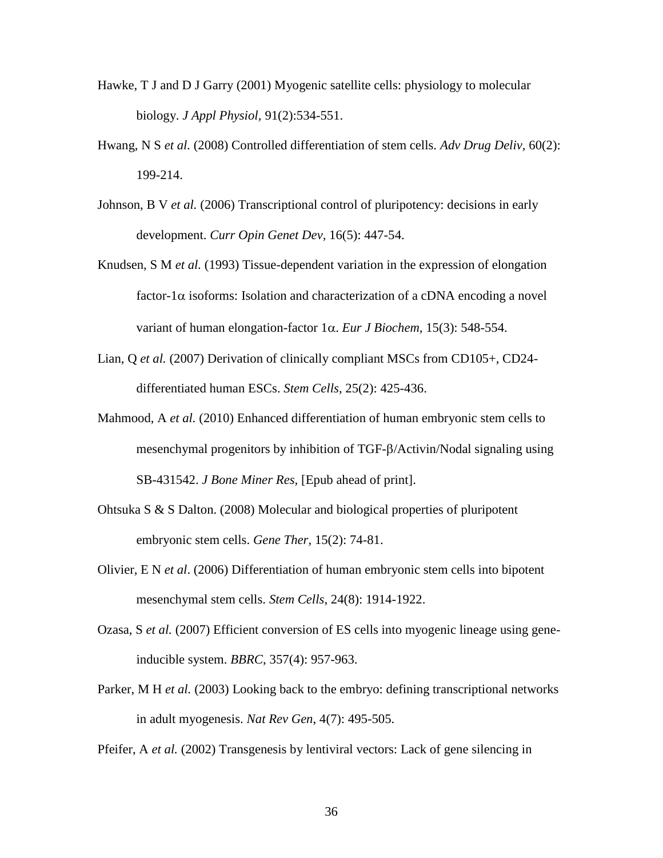- Hawke, T J and D J Garry (2001) Myogenic satellite cells: physiology to molecular biology. *J Appl Physiol,* 91(2):534-551.
- Hwang, N S *et al.* (2008) Controlled differentiation of stem cells. *Adv Drug Deliv,* 60(2): 199-214.
- Johnson, B V *et al.* (2006) Transcriptional control of pluripotency: decisions in early development. *Curr Opin Genet Dev,* 16(5): 447-54.
- Knudsen, S M *et al.* (1993) Tissue-dependent variation in the expression of elongation factor-1 $\alpha$  isoforms: Isolation and characterization of a cDNA encoding a novel variant of human elongation-factor  $1\alpha$ . *Eur J Biochem*, 15(3): 548-554.
- Lian, Q *et al.* (2007) Derivation of clinically compliant MSCs from CD105+, CD24 differentiated human ESCs. *Stem Cells*, 25(2): 425-436.
- Mahmood, A *et al.* (2010) Enhanced differentiation of human embryonic stem cells to mesenchymal progenitors by inhibition of  $TGF- $\beta$ /Activin/Nodal signaling using$ SB-431542. *J Bone Miner Res,* [Epub ahead of print].
- Ohtsuka S & S Dalton. (2008) Molecular and biological properties of pluripotent embryonic stem cells. *Gene Ther,* 15(2): 74-81.
- Olivier, E N *et al*. (2006) Differentiation of human embryonic stem cells into bipotent mesenchymal stem cells. *Stem Cells*, 24(8): 1914-1922.
- Ozasa, S *et al.* (2007) Efficient conversion of ES cells into myogenic lineage using geneinducible system. *BBRC*, 357(4): 957-963.
- Parker, M H *et al.* (2003) Looking back to the embryo: defining transcriptional networks in adult myogenesis. *Nat Rev Gen*, 4(7): 495-505.

Pfeifer, A *et al.* (2002) Transgenesis by lentiviral vectors: Lack of gene silencing in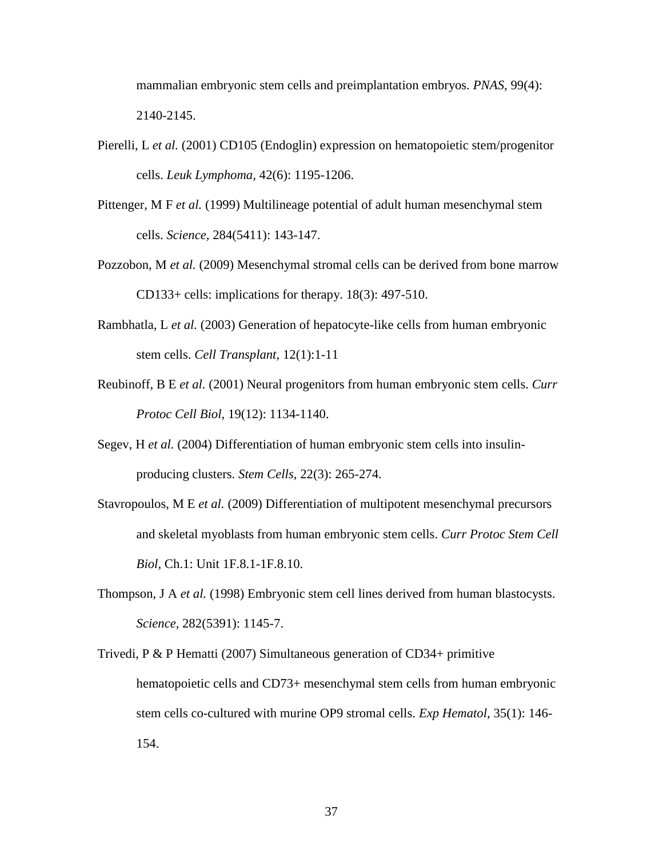mammalian embryonic stem cells and preimplantation embryos. *PNAS,* 99(4): 2140-2145.

- Pierelli, L *et al.* (2001) CD105 (Endoglin) expression on hematopoietic stem/progenitor cells. *Leuk Lymphoma,* 42(6): 1195-1206.
- Pittenger, M F *et al.* (1999) Multilineage potential of adult human mesenchymal stem cells. *Science,* 284(5411): 143-147.
- Pozzobon, M *et al.* (2009) Mesenchymal stromal cells can be derived from bone marrow CD133+ cells: implications for therapy. 18(3): 497-510.
- Rambhatla, L *et al.* (2003) Generation of hepatocyte-like cells from human embryonic stem cells. *Cell Transplant,* 12(1):1-11
- Reubinoff, B E *et al.* (2001) Neural progenitors from human embryonic stem cells. *Curr Protoc Cell Biol,* 19(12): 1134-1140.
- Segev, H *et al.* (2004) Differentiation of human embryonic stem cells into insulinproducing clusters. *Stem Cells,* 22(3): 265-274.
- Stavropoulos, M E *et al.* (2009) Differentiation of multipotent mesenchymal precursors and skeletal myoblasts from human embryonic stem cells. *Curr Protoc Stem Cell Biol,* Ch.1: Unit 1F.8.1-1F.8.10.
- Thompson, J A *et al.* (1998) Embryonic stem cell lines derived from human blastocysts. *Science,* 282(5391): 1145-7.
- Trivedi, P & P Hematti (2007) Simultaneous generation of CD34+ primitive hematopoietic cells and CD73+ mesenchymal stem cells from human embryonic stem cells co-cultured with murine OP9 stromal cells. *Exp Hematol*, 35(1): 146- 154.